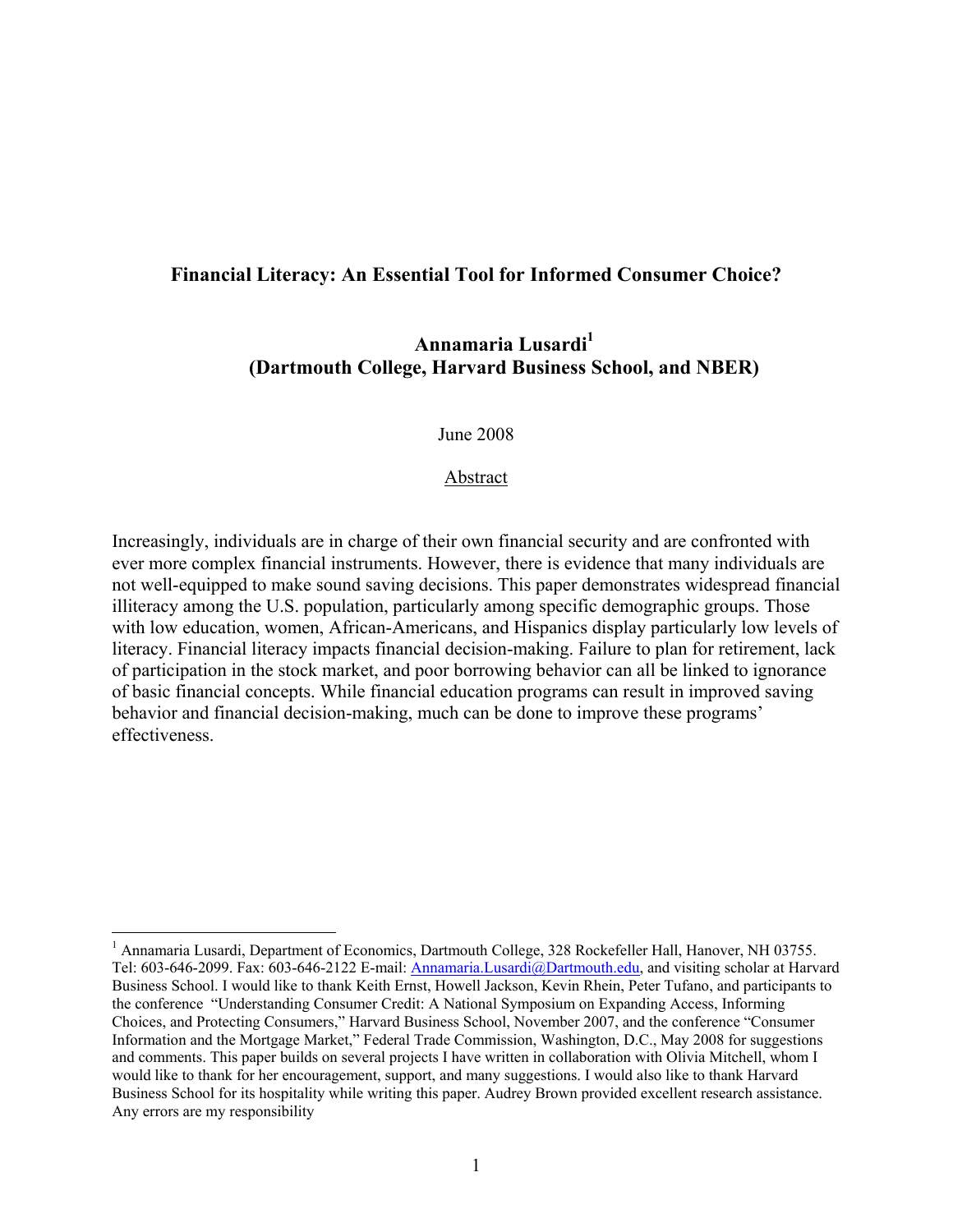### **Financial Literacy: An Essential Tool for Informed Consumer Choice?**

# **Annamaria Lusardi1 (Dartmouth College, Harvard Business School, and NBER)**

June 2008

### Abstract

Increasingly, individuals are in charge of their own financial security and are confronted with ever more complex financial instruments. However, there is evidence that many individuals are not well-equipped to make sound saving decisions. This paper demonstrates widespread financial illiteracy among the U.S. population, particularly among specific demographic groups. Those with low education, women, African-Americans, and Hispanics display particularly low levels of literacy. Financial literacy impacts financial decision-making. Failure to plan for retirement, lack of participation in the stock market, and poor borrowing behavior can all be linked to ignorance of basic financial concepts. While financial education programs can result in improved saving behavior and financial decision-making, much can be done to improve these programs' effectiveness.

 $\overline{a}$ 

<sup>&</sup>lt;sup>1</sup> Annamaria Lusardi, Department of Economics, Dartmouth College, 328 Rockefeller Hall, Hanover, NH 03755. Tel: 603-646-2099. Fax: 603-646-2122 E-mail: Annamaria.Lusardi@Dartmouth.edu, and visiting scholar at Harvard Business School. I would like to thank Keith Ernst, Howell Jackson, Kevin Rhein, Peter Tufano, and participants to the conference "Understanding Consumer Credit: A National Symposium on Expanding Access, Informing Choices, and Protecting Consumers," Harvard Business School, November 2007, and the conference "Consumer Information and the Mortgage Market," Federal Trade Commission, Washington, D.C., May 2008 for suggestions and comments. This paper builds on several projects I have written in collaboration with Olivia Mitchell, whom I would like to thank for her encouragement, support, and many suggestions. I would also like to thank Harvard Business School for its hospitality while writing this paper. Audrey Brown provided excellent research assistance. Any errors are my responsibility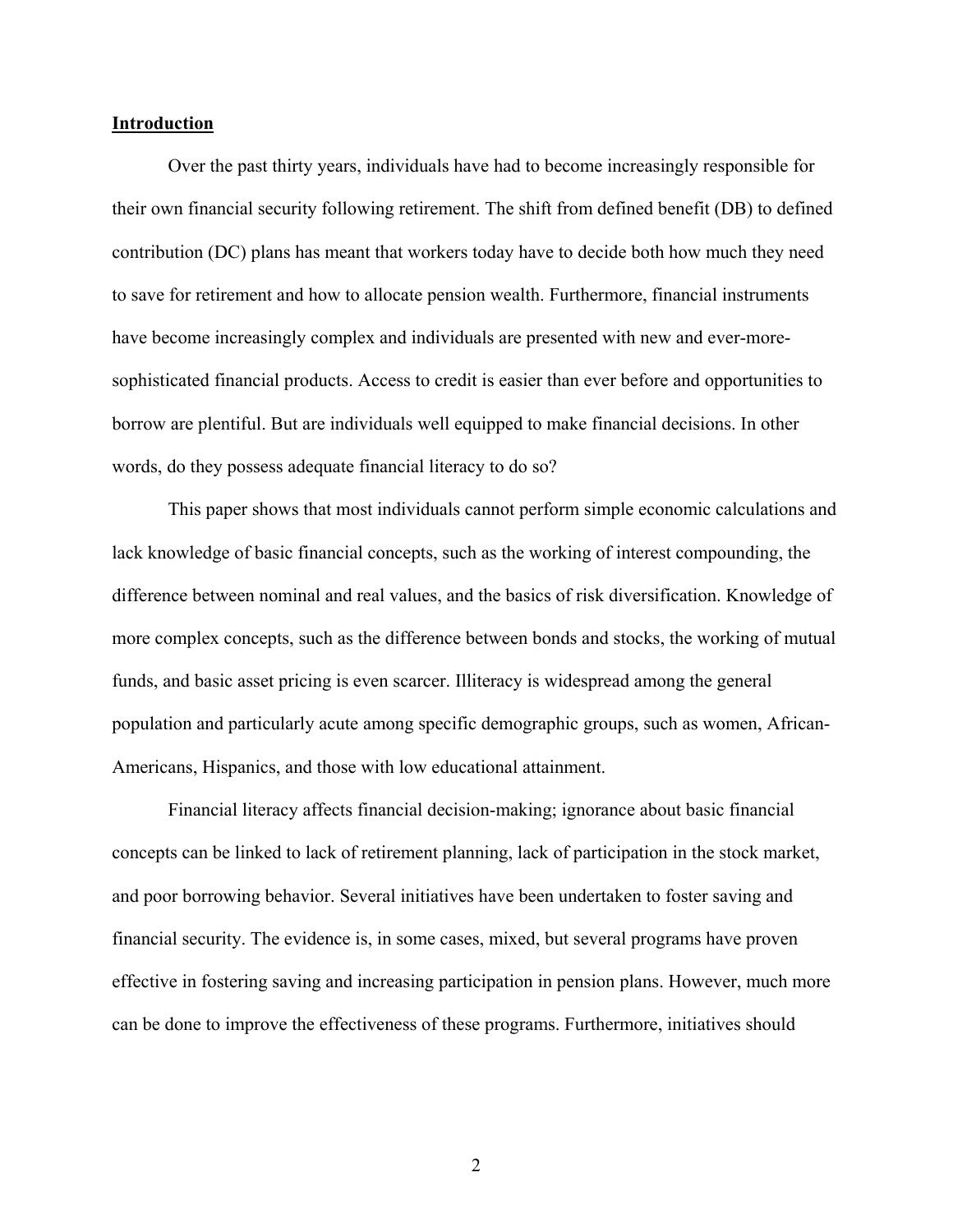#### **Introduction**

Over the past thirty years, individuals have had to become increasingly responsible for their own financial security following retirement. The shift from defined benefit (DB) to defined contribution (DC) plans has meant that workers today have to decide both how much they need to save for retirement and how to allocate pension wealth. Furthermore, financial instruments have become increasingly complex and individuals are presented with new and ever-moresophisticated financial products. Access to credit is easier than ever before and opportunities to borrow are plentiful. But are individuals well equipped to make financial decisions. In other words, do they possess adequate financial literacy to do so?

This paper shows that most individuals cannot perform simple economic calculations and lack knowledge of basic financial concepts, such as the working of interest compounding, the difference between nominal and real values, and the basics of risk diversification. Knowledge of more complex concepts, such as the difference between bonds and stocks, the working of mutual funds, and basic asset pricing is even scarcer. Illiteracy is widespread among the general population and particularly acute among specific demographic groups, such as women, African-Americans, Hispanics, and those with low educational attainment.

Financial literacy affects financial decision-making; ignorance about basic financial concepts can be linked to lack of retirement planning, lack of participation in the stock market, and poor borrowing behavior. Several initiatives have been undertaken to foster saving and financial security. The evidence is, in some cases, mixed, but several programs have proven effective in fostering saving and increasing participation in pension plans. However, much more can be done to improve the effectiveness of these programs. Furthermore, initiatives should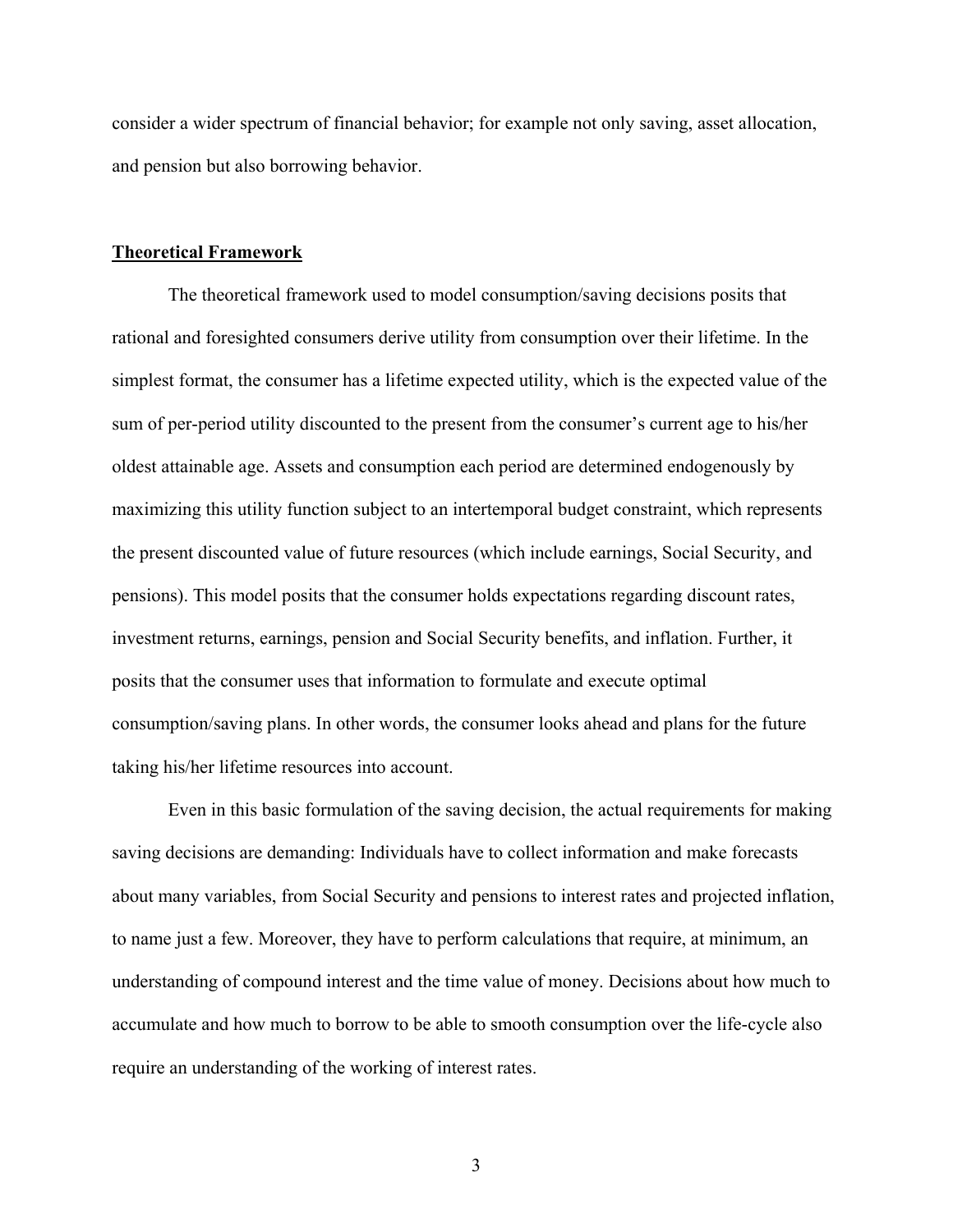consider a wider spectrum of financial behavior; for example not only saving, asset allocation, and pension but also borrowing behavior.

#### **Theoretical Framework**

The theoretical framework used to model consumption/saving decisions posits that rational and foresighted consumers derive utility from consumption over their lifetime. In the simplest format, the consumer has a lifetime expected utility, which is the expected value of the sum of per-period utility discounted to the present from the consumer's current age to his/her oldest attainable age. Assets and consumption each period are determined endogenously by maximizing this utility function subject to an intertemporal budget constraint, which represents the present discounted value of future resources (which include earnings, Social Security, and pensions). This model posits that the consumer holds expectations regarding discount rates, investment returns, earnings, pension and Social Security benefits, and inflation. Further, it posits that the consumer uses that information to formulate and execute optimal consumption/saving plans. In other words, the consumer looks ahead and plans for the future taking his/her lifetime resources into account.

 Even in this basic formulation of the saving decision, the actual requirements for making saving decisions are demanding: Individuals have to collect information and make forecasts about many variables, from Social Security and pensions to interest rates and projected inflation, to name just a few. Moreover, they have to perform calculations that require, at minimum, an understanding of compound interest and the time value of money. Decisions about how much to accumulate and how much to borrow to be able to smooth consumption over the life-cycle also require an understanding of the working of interest rates.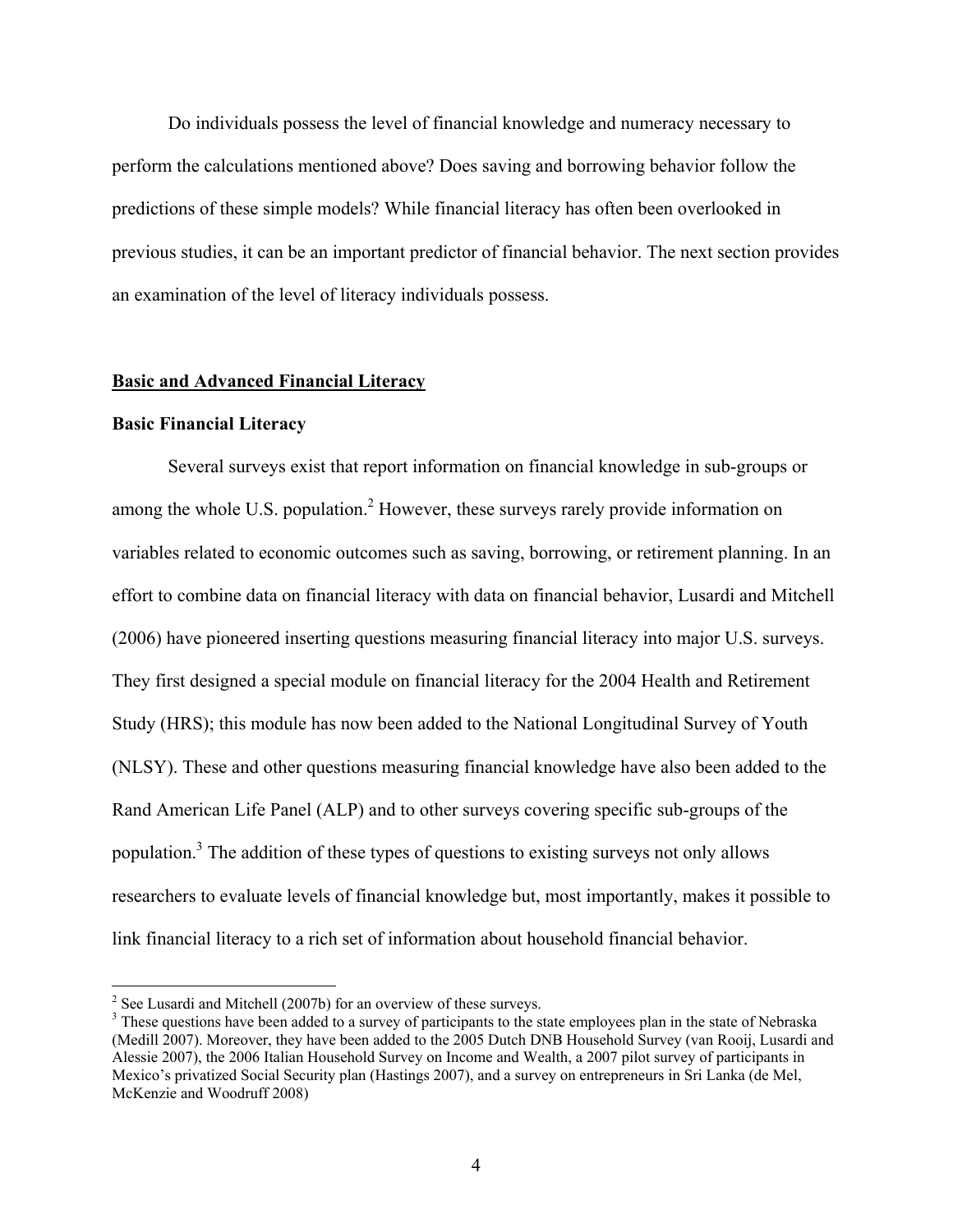Do individuals possess the level of financial knowledge and numeracy necessary to perform the calculations mentioned above? Does saving and borrowing behavior follow the predictions of these simple models? While financial literacy has often been overlooked in previous studies, it can be an important predictor of financial behavior. The next section provides an examination of the level of literacy individuals possess.

#### **Basic and Advanced Financial Literacy**

#### **Basic Financial Literacy**

 $\overline{a}$ 

Several surveys exist that report information on financial knowledge in sub-groups or among the whole U.S. population. $<sup>2</sup>$  However, these surveys rarely provide information on</sup> variables related to economic outcomes such as saving, borrowing, or retirement planning. In an effort to combine data on financial literacy with data on financial behavior, Lusardi and Mitchell (2006) have pioneered inserting questions measuring financial literacy into major U.S. surveys. They first designed a special module on financial literacy for the 2004 Health and Retirement Study (HRS); this module has now been added to the National Longitudinal Survey of Youth (NLSY). These and other questions measuring financial knowledge have also been added to the Rand American Life Panel (ALP) and to other surveys covering specific sub-groups of the population.<sup>3</sup> The addition of these types of questions to existing surveys not only allows researchers to evaluate levels of financial knowledge but, most importantly, makes it possible to link financial literacy to a rich set of information about household financial behavior.

<sup>&</sup>lt;sup>2</sup> See Lusardi and Mitchell (2007b) for an overview of these surveys.<br><sup>3</sup> These questions have been added to a survey of perticipants to the st

<sup>&</sup>lt;sup>3</sup> These questions have been added to a survey of participants to the state employees plan in the state of Nebraska (Medill 2007). Moreover, they have been added to the 2005 Dutch DNB Household Survey (van Rooij, Lusardi and Alessie 2007), the 2006 Italian Household Survey on Income and Wealth, a 2007 pilot survey of participants in Mexico's privatized Social Security plan (Hastings 2007), and a survey on entrepreneurs in Sri Lanka (de Mel, McKenzie and Woodruff 2008)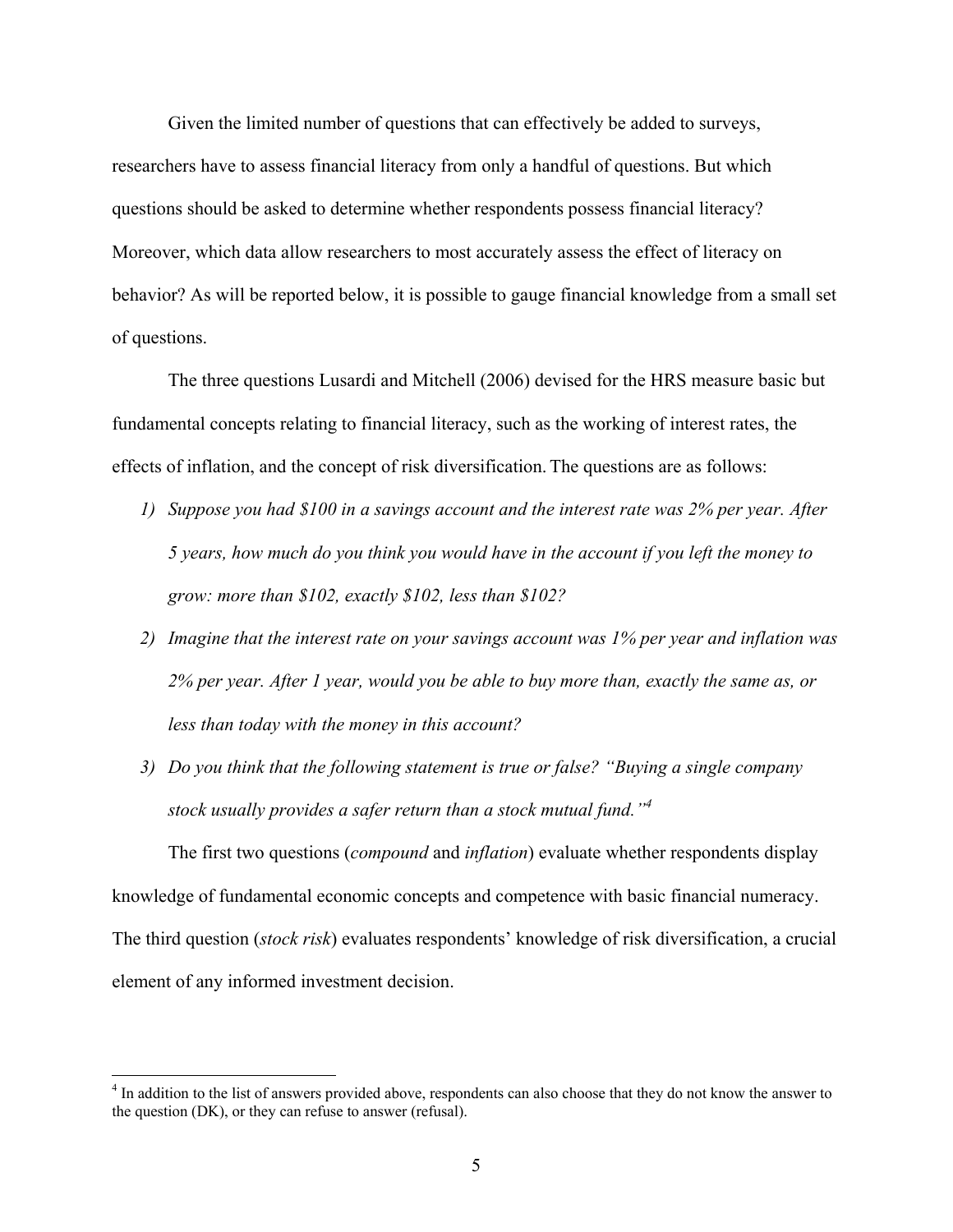Given the limited number of questions that can effectively be added to surveys, researchers have to assess financial literacy from only a handful of questions. But which questions should be asked to determine whether respondents possess financial literacy? Moreover, which data allow researchers to most accurately assess the effect of literacy on behavior? As will be reported below, it is possible to gauge financial knowledge from a small set of questions.

The three questions Lusardi and Mitchell (2006) devised for the HRS measure basic but fundamental concepts relating to financial literacy, such as the working of interest rates, the effects of inflation, and the concept of risk diversification. The questions are as follows:

- *1) Suppose you had \$100 in a savings account and the interest rate was 2% per year. After 5 years, how much do you think you would have in the account if you left the money to grow: more than \$102, exactly \$102, less than \$102?*
- *2) Imagine that the interest rate on your savings account was 1% per year and inflation was 2% per year. After 1 year, would you be able to buy more than, exactly the same as, or less than today with the money in this account?*
- *3) Do you think that the following statement is true or false? "Buying a single company stock usually provides a safer return than a stock mutual fund."<sup>4</sup>*

 The first two questions (*compound* and *inflation*) evaluate whether respondents display knowledge of fundamental economic concepts and competence with basic financial numeracy. The third question (*stock risk*) evaluates respondents' knowledge of risk diversification, a crucial element of any informed investment decision.

<sup>&</sup>lt;sup>4</sup> In addition to the list of answers provided above, respondents can also choose that they do not know the answer to the question (DK), or they can refuse to answer (refusal).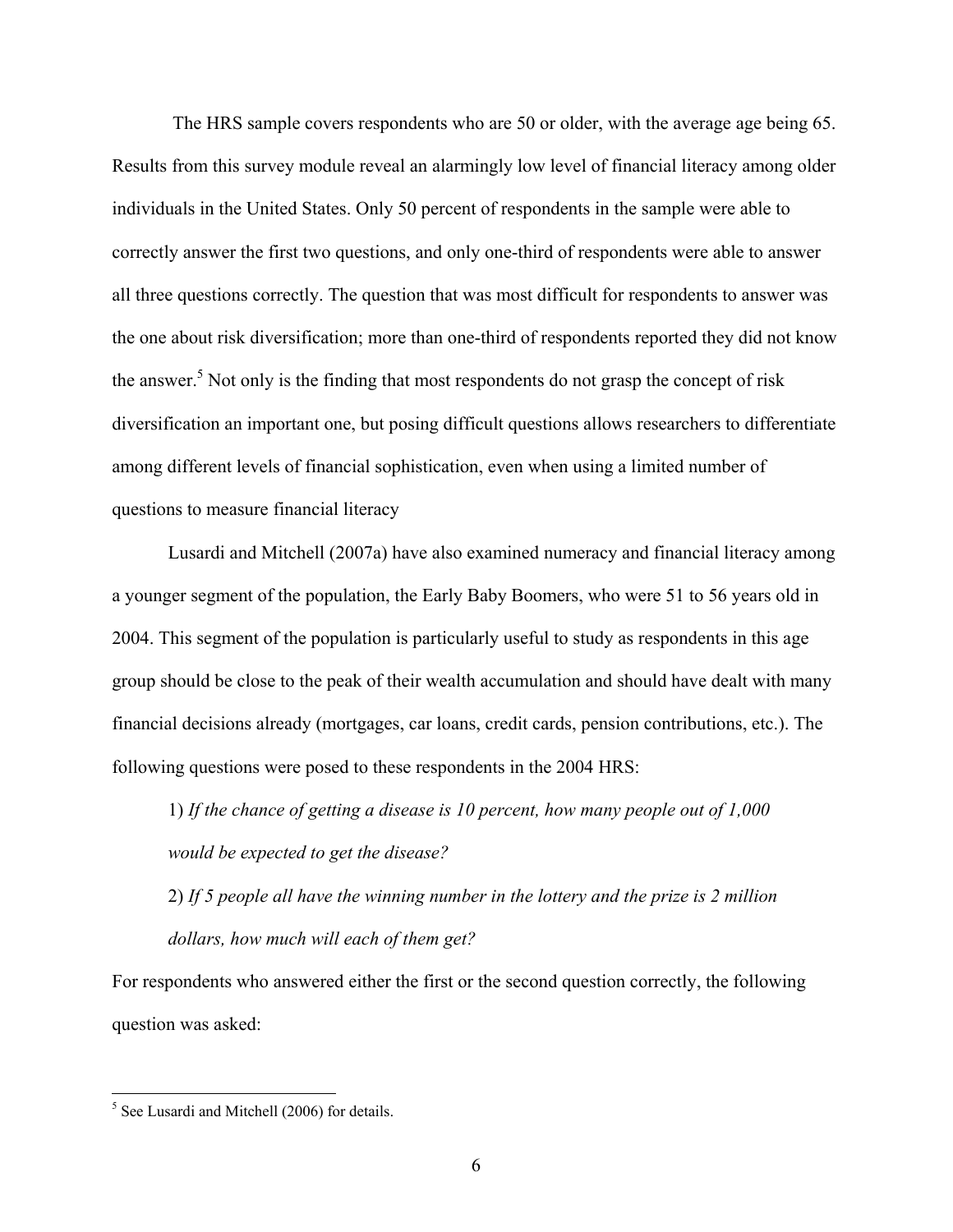The HRS sample covers respondents who are 50 or older, with the average age being 65. Results from this survey module reveal an alarmingly low level of financial literacy among older individuals in the United States. Only 50 percent of respondents in the sample were able to correctly answer the first two questions, and only one-third of respondents were able to answer all three questions correctly. The question that was most difficult for respondents to answer was the one about risk diversification; more than one-third of respondents reported they did not know the answer.<sup>5</sup> Not only is the finding that most respondents do not grasp the concept of risk diversification an important one, but posing difficult questions allows researchers to differentiate among different levels of financial sophistication, even when using a limited number of questions to measure financial literacy

Lusardi and Mitchell (2007a) have also examined numeracy and financial literacy among a younger segment of the population, the Early Baby Boomers, who were 51 to 56 years old in 2004. This segment of the population is particularly useful to study as respondents in this age group should be close to the peak of their wealth accumulation and should have dealt with many financial decisions already (mortgages, car loans, credit cards, pension contributions, etc.). The following questions were posed to these respondents in the 2004 HRS:

1) *If the chance of getting a disease is 10 percent, how many people out of 1,000 would be expected to get the disease?*

2) *If 5 people all have the winning number in the lottery and the prize is 2 million dollars, how much will each of them get?* 

For respondents who answered either the first or the second question correctly, the following question was asked:

 5 See Lusardi and Mitchell (2006) for details.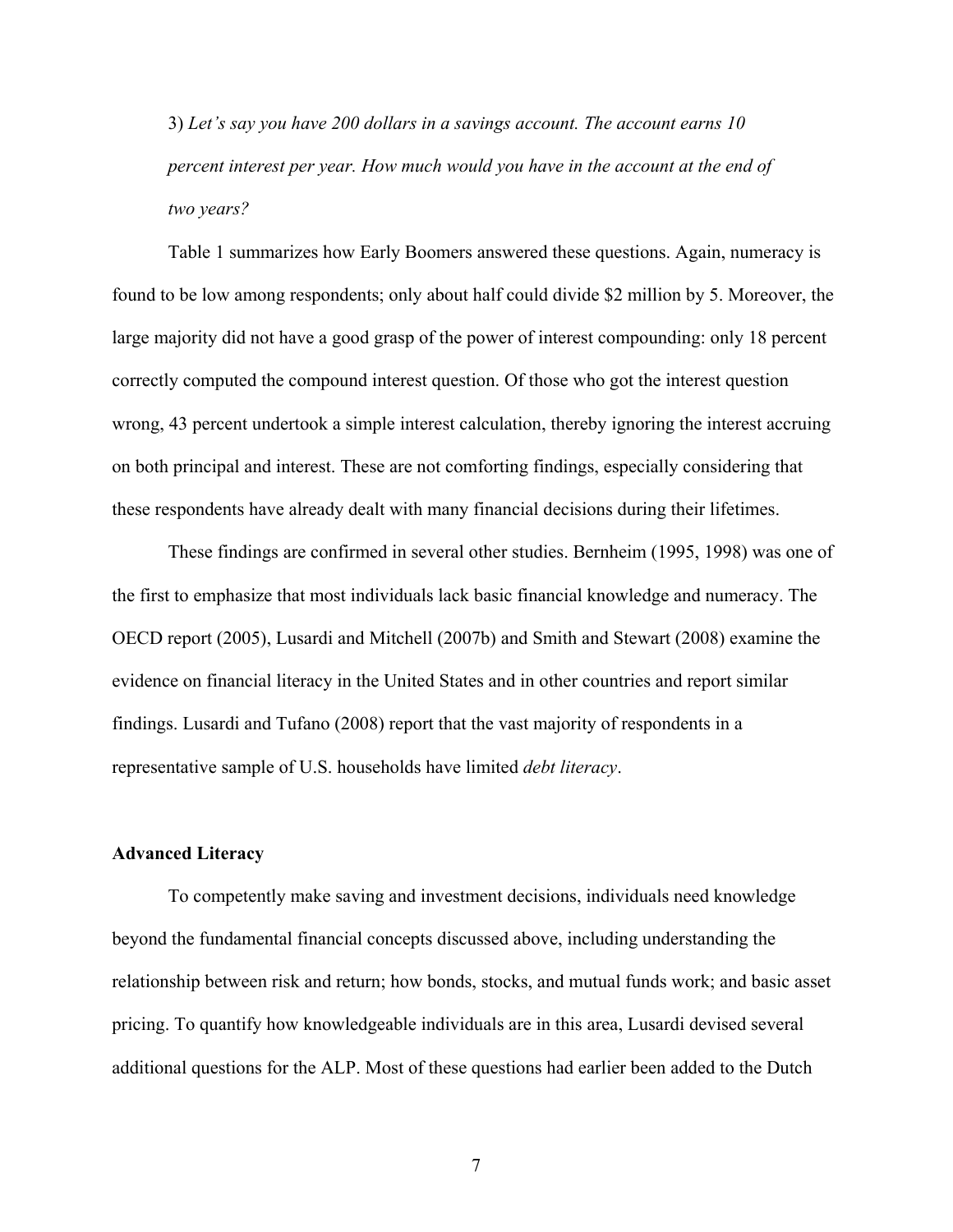3) *Let's say you have 200 dollars in a savings account. The account earns 10 percent interest per year. How much would you have in the account at the end of two years?* 

 Table 1 summarizes how Early Boomers answered these questions. Again, numeracy is found to be low among respondents; only about half could divide \$2 million by 5. Moreover, the large majority did not have a good grasp of the power of interest compounding: only 18 percent correctly computed the compound interest question. Of those who got the interest question wrong, 43 percent undertook a simple interest calculation, thereby ignoring the interest accruing on both principal and interest. These are not comforting findings, especially considering that these respondents have already dealt with many financial decisions during their lifetimes.

 These findings are confirmed in several other studies. Bernheim (1995, 1998) was one of the first to emphasize that most individuals lack basic financial knowledge and numeracy. The OECD report (2005), Lusardi and Mitchell (2007b) and Smith and Stewart (2008) examine the evidence on financial literacy in the United States and in other countries and report similar findings. Lusardi and Tufano (2008) report that the vast majority of respondents in a representative sample of U.S. households have limited *debt literacy*.

#### **Advanced Literacy**

To competently make saving and investment decisions, individuals need knowledge beyond the fundamental financial concepts discussed above, including understanding the relationship between risk and return; how bonds, stocks, and mutual funds work; and basic asset pricing. To quantify how knowledgeable individuals are in this area, Lusardi devised several additional questions for the ALP. Most of these questions had earlier been added to the Dutch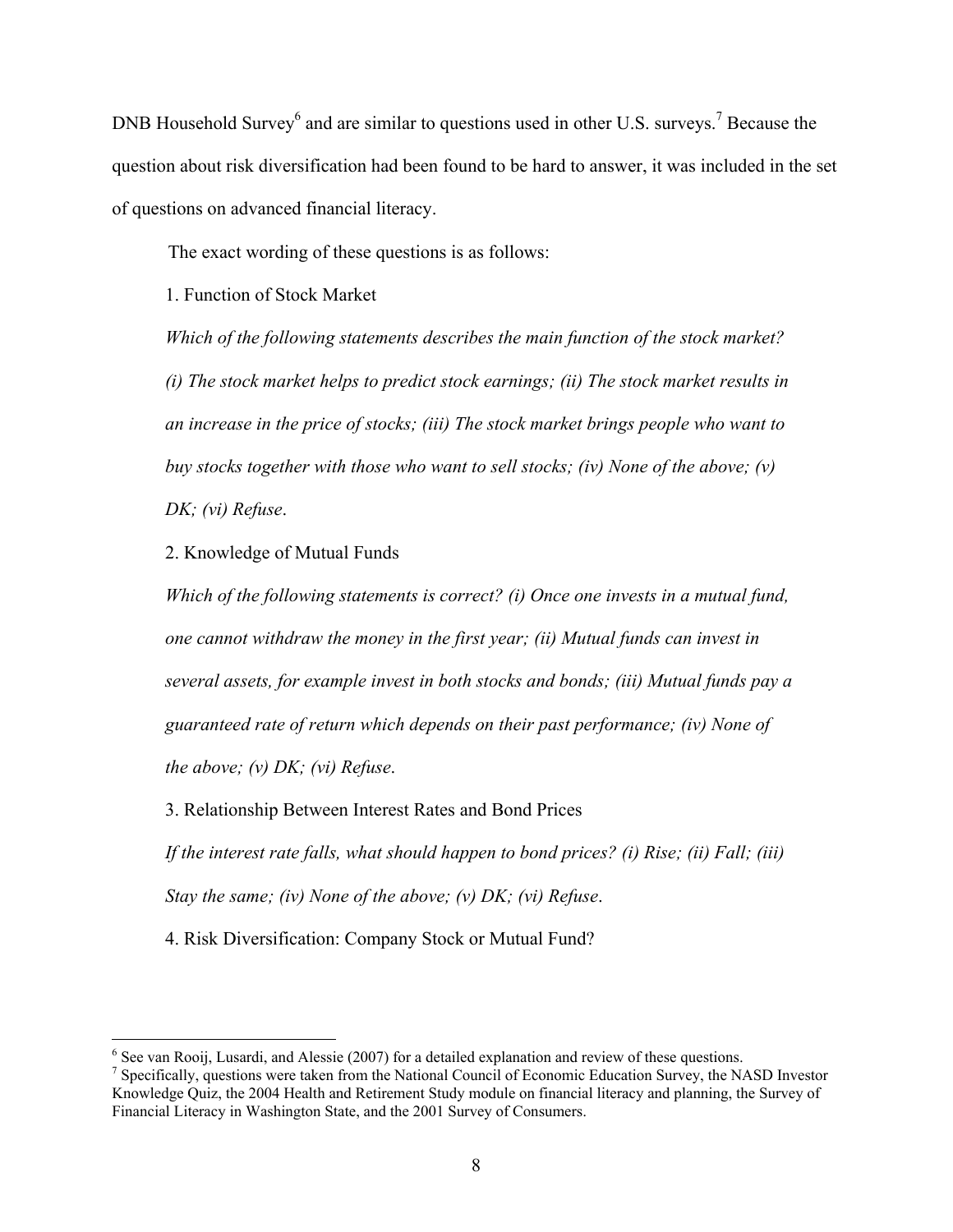DNB Household Survey<sup>6</sup> and are similar to questions used in other U.S. surveys.<sup>7</sup> Because the question about risk diversification had been found to be hard to answer, it was included in the set of questions on advanced financial literacy.

The exact wording of these questions is as follows:

1. Function of Stock Market

*Which of the following statements describes the main function of the stock market? (i) The stock market helps to predict stock earnings; (ii) The stock market results in an increase in the price of stocks; (iii) The stock market brings people who want to buy stocks together with those who want to sell stocks; (iv) None of the above; (v) DK; (vi) Refuse*.

2. Knowledge of Mutual Funds

*Which of the following statements is correct? (i) Once one invests in a mutual fund, one cannot withdraw the money in the first year; (ii) Mutual funds can invest in several assets, for example invest in both stocks and bonds; (iii) Mutual funds pay a guaranteed rate of return which depends on their past performance; (iv) None of the above; (v) DK; (vi) Refuse*.

3. Relationship Between Interest Rates and Bond Prices

*If the interest rate falls, what should happen to bond prices? (i) Rise; (ii) Fall; (iii) Stay the same; (iv) None of the above; (v) DK; (vi) Refuse*.

4. Risk Diversification: Company Stock or Mutual Fund?

<sup>&</sup>lt;sup>6</sup> See van Rooij, Lusardi, and Alessie (2007) for a detailed explanation and review of these questions.

<sup>&</sup>lt;sup>7</sup> Specifically, questions were taken from the National Council of Economic Education Survey, the NASD Investor Knowledge Quiz, the 2004 Health and Retirement Study module on financial literacy and planning, the Survey of Financial Literacy in Washington State, and the 2001 Survey of Consumers.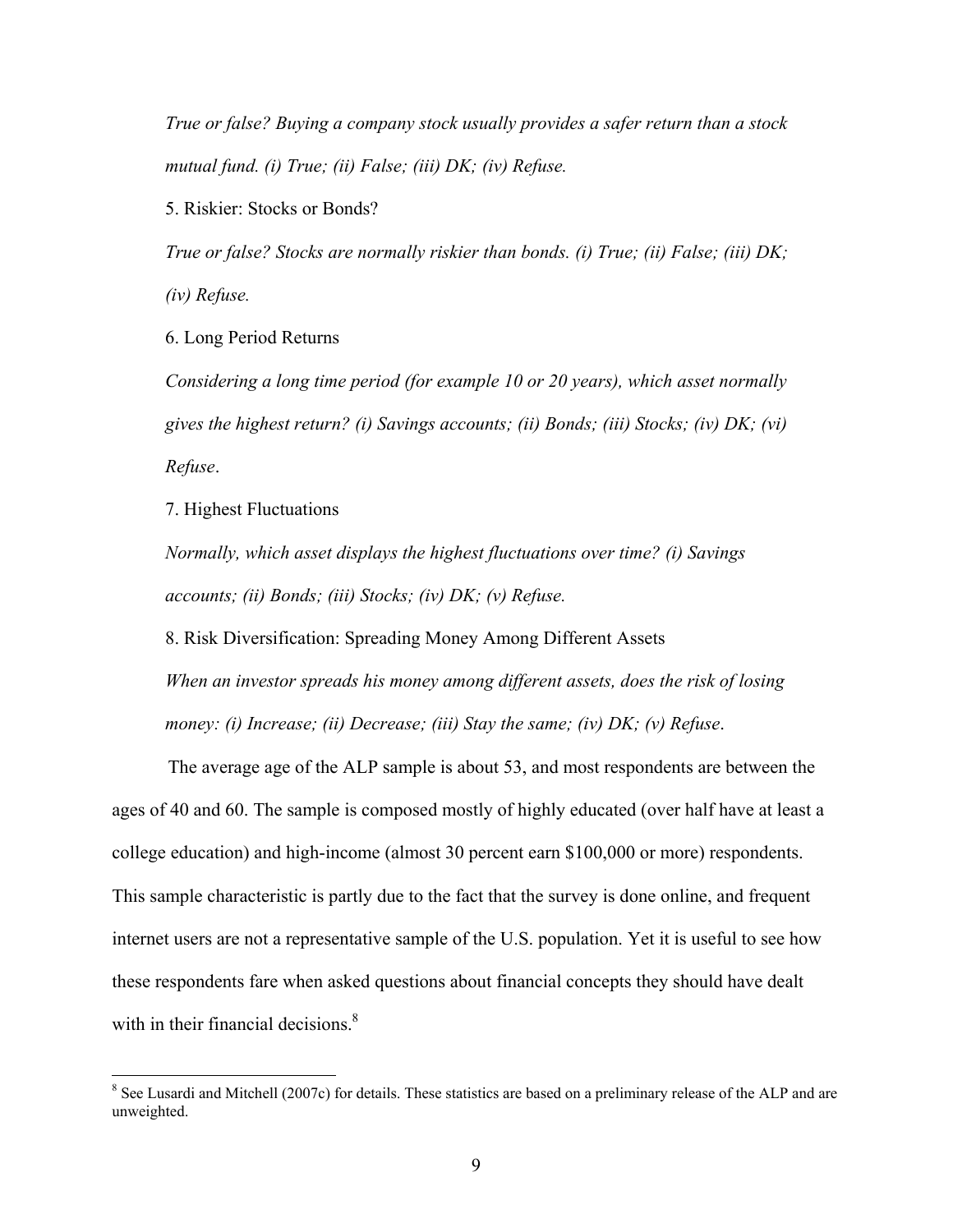*True or false? Buying a company stock usually provides a safer return than a stock mutual fund. (i) True; (ii) False; (iii) DK; (iv) Refuse.* 

5. Riskier: Stocks or Bonds?

*True or false? Stocks are normally riskier than bonds. (i) True; (ii) False; (iii) DK; (iv) Refuse.*

6. Long Period Returns

*Considering a long time period (for example 10 or 20 years), which asset normally gives the highest return? (i) Savings accounts; (ii) Bonds; (iii) Stocks; (iv) DK; (vi) Refuse*.

7. Highest Fluctuations

*Normally, which asset displays the highest fluctuations over time? (i) Savings accounts; (ii) Bonds; (iii) Stocks; (iv) DK; (v) Refuse.* 

8. Risk Diversification: Spreading Money Among Different Assets

*When an investor spreads his money among different assets, does the risk of losing money: (i) Increase; (ii) Decrease; (iii) Stay the same; (iv) DK; (v) Refuse*.

The average age of the ALP sample is about 53, and most respondents are between the ages of 40 and 60. The sample is composed mostly of highly educated (over half have at least a college education) and high-income (almost 30 percent earn \$100,000 or more) respondents. This sample characteristic is partly due to the fact that the survey is done online, and frequent internet users are not a representative sample of the U.S. population. Yet it is useful to see how these respondents fare when asked questions about financial concepts they should have dealt with in their financial decisions.<sup>8</sup>

<sup>&</sup>lt;sup>8</sup> See Lusardi and Mitchell (2007c) for details. These statistics are based on a preliminary release of the ALP and are unweighted.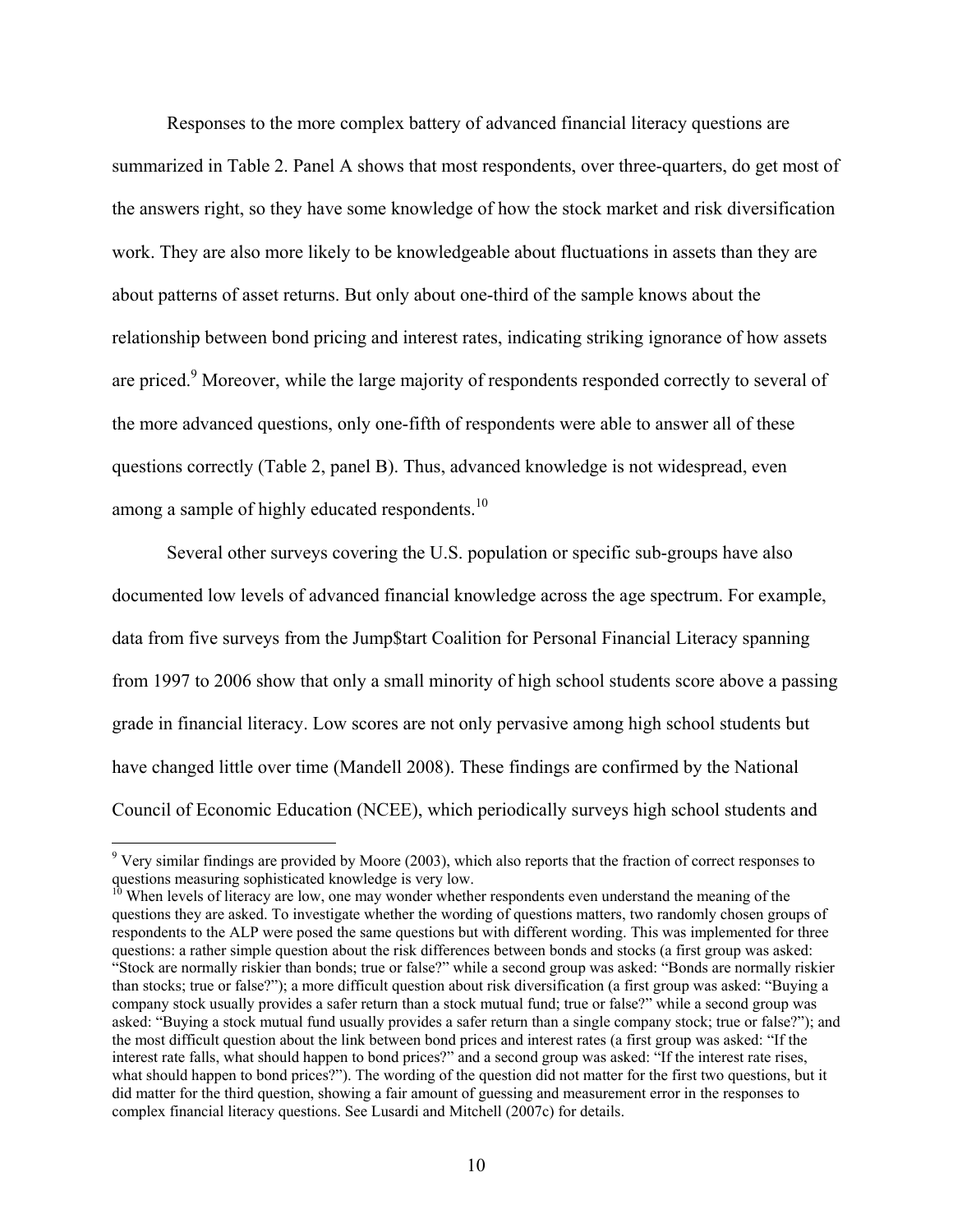Responses to the more complex battery of advanced financial literacy questions are summarized in Table 2. Panel A shows that most respondents, over three-quarters, do get most of the answers right, so they have some knowledge of how the stock market and risk diversification work. They are also more likely to be knowledgeable about fluctuations in assets than they are about patterns of asset returns. But only about one-third of the sample knows about the relationship between bond pricing and interest rates, indicating striking ignorance of how assets are priced.<sup>9</sup> Moreover, while the large majority of respondents responded correctly to several of the more advanced questions, only one-fifth of respondents were able to answer all of these questions correctly (Table 2, panel B). Thus, advanced knowledge is not widespread, even among a sample of highly educated respondents.<sup>10</sup>

Several other surveys covering the U.S. population or specific sub-groups have also documented low levels of advanced financial knowledge across the age spectrum. For example, data from five surveys from the Jump\$tart Coalition for Personal Financial Literacy spanning from 1997 to 2006 show that only a small minority of high school students score above a passing grade in financial literacy. Low scores are not only pervasive among high school students but have changed little over time (Mandell 2008). These findings are confirmed by the National Council of Economic Education (NCEE), which periodically surveys high school students and

 $9$  Very similar findings are provided by Moore (2003), which also reports that the fraction of correct responses to questions measuring sophisticated knowledge is very low.

<sup>&</sup>lt;sup>10</sup> When levels of literacy are low, one may wonder whether respondents even understand the meaning of the questions they are asked. To investigate whether the wording of questions matters, two randomly chosen groups of respondents to the ALP were posed the same questions but with different wording. This was implemented for three questions: a rather simple question about the risk differences between bonds and stocks (a first group was asked: "Stock are normally riskier than bonds; true or false?" while a second group was asked: "Bonds are normally riskier than stocks; true or false?"); a more difficult question about risk diversification (a first group was asked: "Buying a company stock usually provides a safer return than a stock mutual fund; true or false?" while a second group was asked: "Buying a stock mutual fund usually provides a safer return than a single company stock; true or false?"); and the most difficult question about the link between bond prices and interest rates (a first group was asked: "If the interest rate falls, what should happen to bond prices?" and a second group was asked: "If the interest rate rises, what should happen to bond prices?"). The wording of the question did not matter for the first two questions, but it did matter for the third question, showing a fair amount of guessing and measurement error in the responses to complex financial literacy questions. See Lusardi and Mitchell (2007c) for details.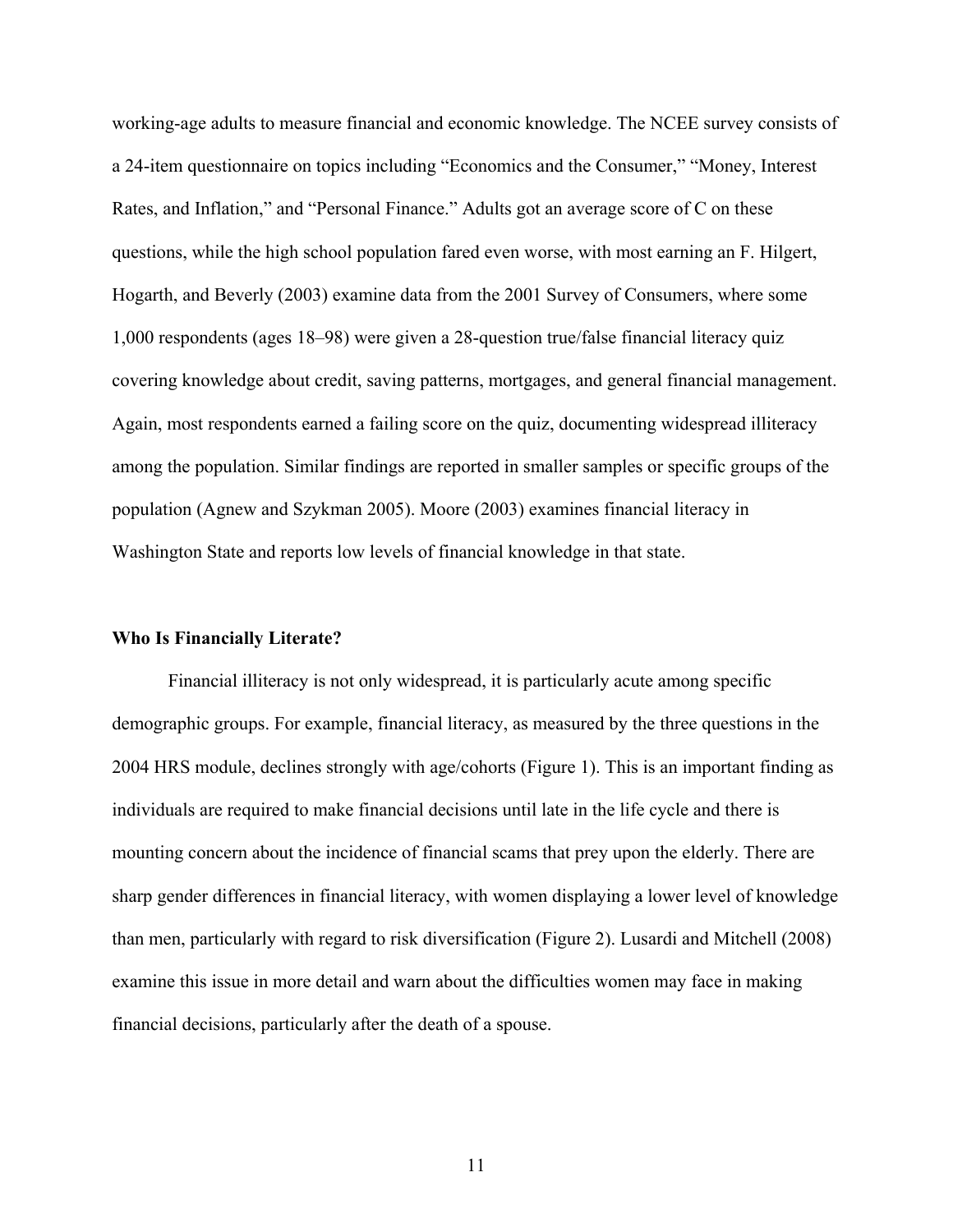working-age adults to measure financial and economic knowledge. The NCEE survey consists of a 24-item questionnaire on topics including "Economics and the Consumer," "Money, Interest Rates, and Inflation," and "Personal Finance." Adults got an average score of C on these questions, while the high school population fared even worse, with most earning an F. Hilgert, Hogarth, and Beverly (2003) examine data from the 2001 Survey of Consumers, where some 1,000 respondents (ages 18–98) were given a 28-question true/false financial literacy quiz covering knowledge about credit, saving patterns, mortgages, and general financial management. Again, most respondents earned a failing score on the quiz, documenting widespread illiteracy among the population. Similar findings are reported in smaller samples or specific groups of the population (Agnew and Szykman 2005). Moore (2003) examines financial literacy in Washington State and reports low levels of financial knowledge in that state.

#### **Who Is Financially Literate?**

Financial illiteracy is not only widespread, it is particularly acute among specific demographic groups. For example, financial literacy, as measured by the three questions in the 2004 HRS module, declines strongly with age/cohorts (Figure 1). This is an important finding as individuals are required to make financial decisions until late in the life cycle and there is mounting concern about the incidence of financial scams that prey upon the elderly. There are sharp gender differences in financial literacy, with women displaying a lower level of knowledge than men, particularly with regard to risk diversification (Figure 2). Lusardi and Mitchell (2008) examine this issue in more detail and warn about the difficulties women may face in making financial decisions, particularly after the death of a spouse.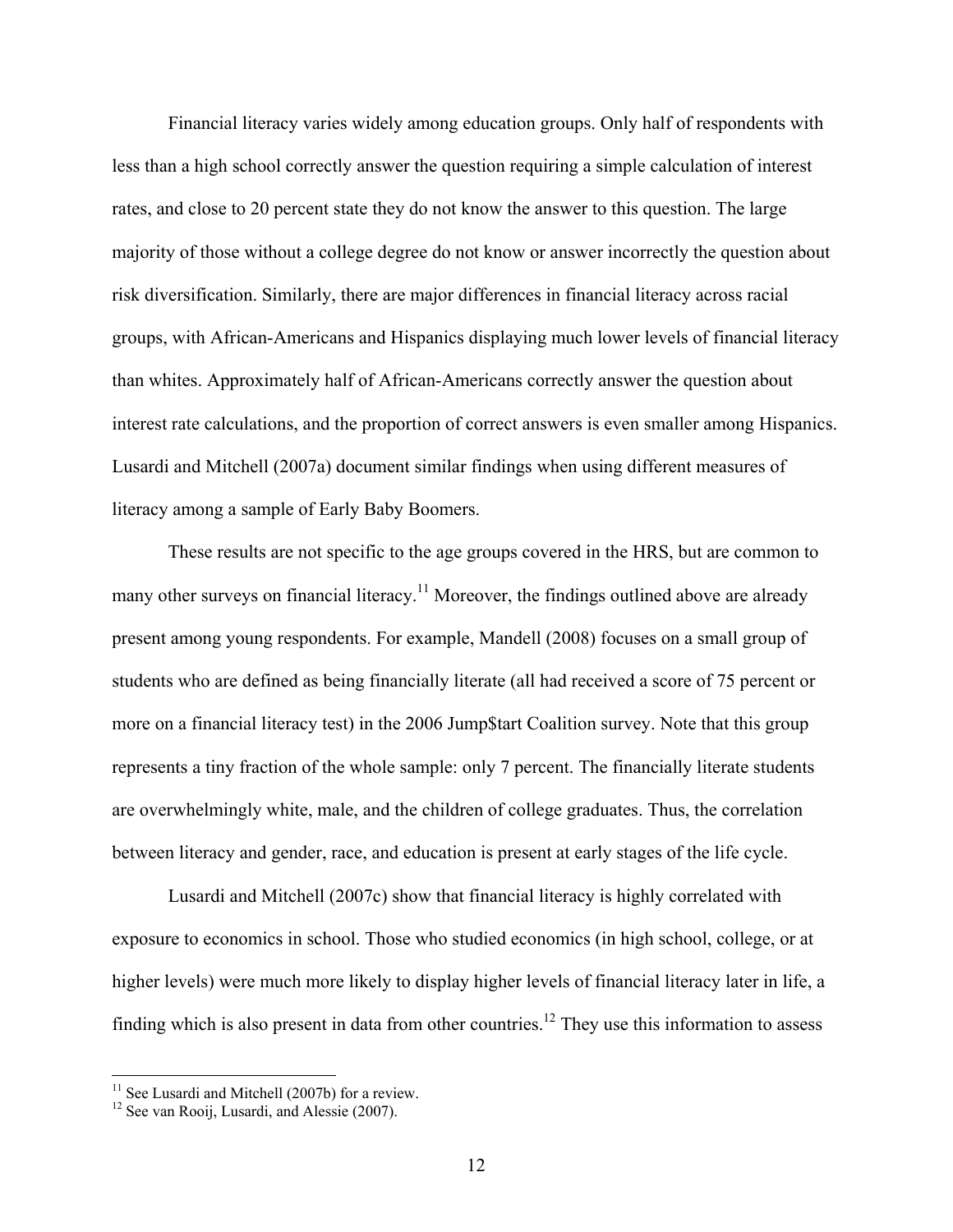Financial literacy varies widely among education groups. Only half of respondents with less than a high school correctly answer the question requiring a simple calculation of interest rates, and close to 20 percent state they do not know the answer to this question. The large majority of those without a college degree do not know or answer incorrectly the question about risk diversification. Similarly, there are major differences in financial literacy across racial groups, with African-Americans and Hispanics displaying much lower levels of financial literacy than whites. Approximately half of African-Americans correctly answer the question about interest rate calculations, and the proportion of correct answers is even smaller among Hispanics. Lusardi and Mitchell (2007a) document similar findings when using different measures of literacy among a sample of Early Baby Boomers.

These results are not specific to the age groups covered in the HRS, but are common to many other surveys on financial literacy.<sup>11</sup> Moreover, the findings outlined above are already present among young respondents. For example, Mandell (2008) focuses on a small group of students who are defined as being financially literate (all had received a score of 75 percent or more on a financial literacy test) in the 2006 Jump\$tart Coalition survey. Note that this group represents a tiny fraction of the whole sample: only 7 percent. The financially literate students are overwhelmingly white, male, and the children of college graduates. Thus, the correlation between literacy and gender, race, and education is present at early stages of the life cycle.

 Lusardi and Mitchell (2007c) show that financial literacy is highly correlated with exposure to economics in school. Those who studied economics (in high school, college, or at higher levels) were much more likely to display higher levels of financial literacy later in life, a finding which is also present in data from other countries.<sup>12</sup> They use this information to assess

 $\overline{a}$ 

 $11$  See Lusardi and Mitchell (2007b) for a review.

<sup>&</sup>lt;sup>12</sup> See van Rooij, Lusardi, and Alessie (2007).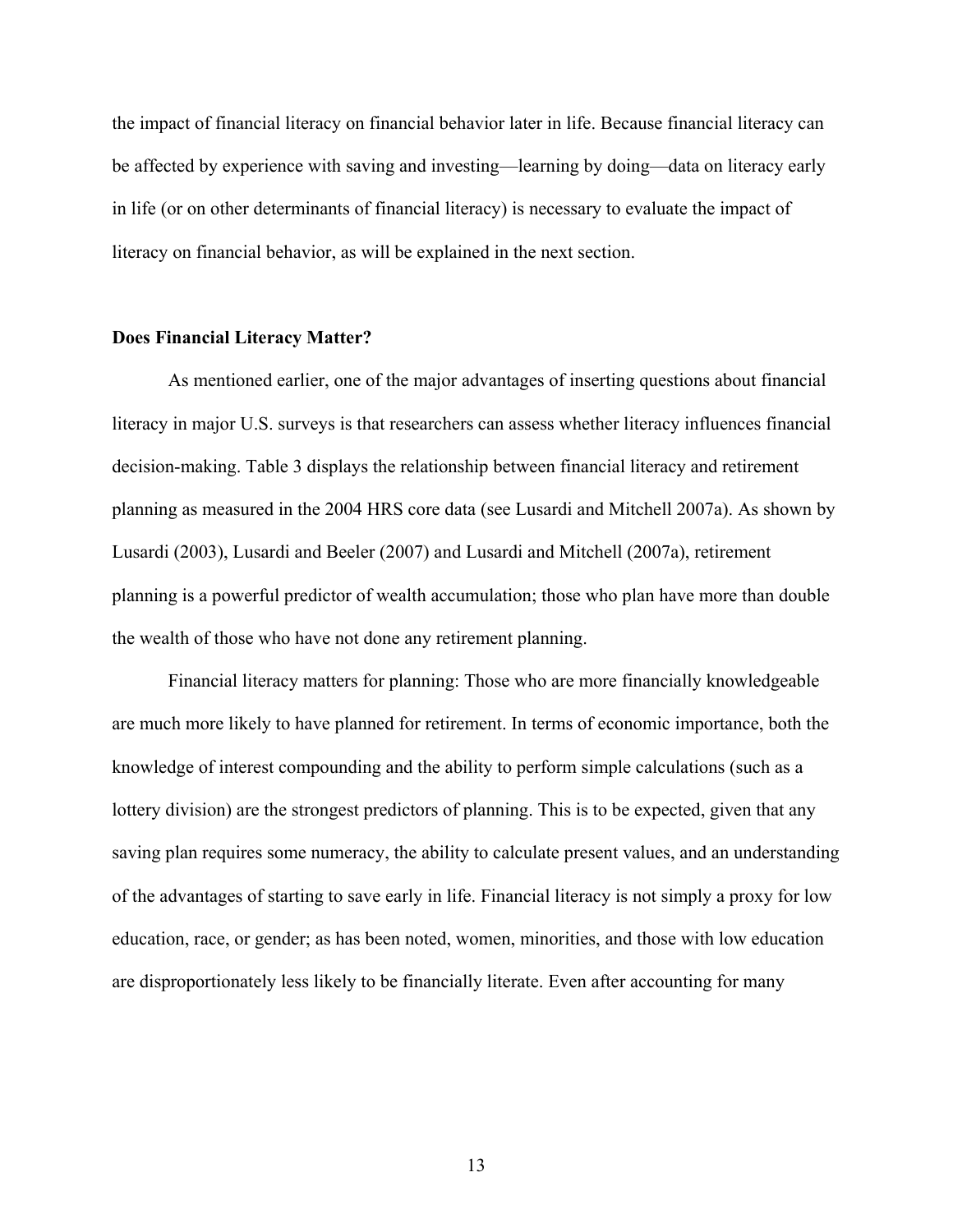the impact of financial literacy on financial behavior later in life. Because financial literacy can be affected by experience with saving and investing—learning by doing—data on literacy early in life (or on other determinants of financial literacy) is necessary to evaluate the impact of literacy on financial behavior, as will be explained in the next section.

#### **Does Financial Literacy Matter?**

As mentioned earlier, one of the major advantages of inserting questions about financial literacy in major U.S. surveys is that researchers can assess whether literacy influences financial decision-making. Table 3 displays the relationship between financial literacy and retirement planning as measured in the 2004 HRS core data (see Lusardi and Mitchell 2007a). As shown by Lusardi (2003), Lusardi and Beeler (2007) and Lusardi and Mitchell (2007a), retirement planning is a powerful predictor of wealth accumulation; those who plan have more than double the wealth of those who have not done any retirement planning.

Financial literacy matters for planning: Those who are more financially knowledgeable are much more likely to have planned for retirement. In terms of economic importance, both the knowledge of interest compounding and the ability to perform simple calculations (such as a lottery division) are the strongest predictors of planning. This is to be expected, given that any saving plan requires some numeracy, the ability to calculate present values, and an understanding of the advantages of starting to save early in life. Financial literacy is not simply a proxy for low education, race, or gender; as has been noted, women, minorities, and those with low education are disproportionately less likely to be financially literate. Even after accounting for many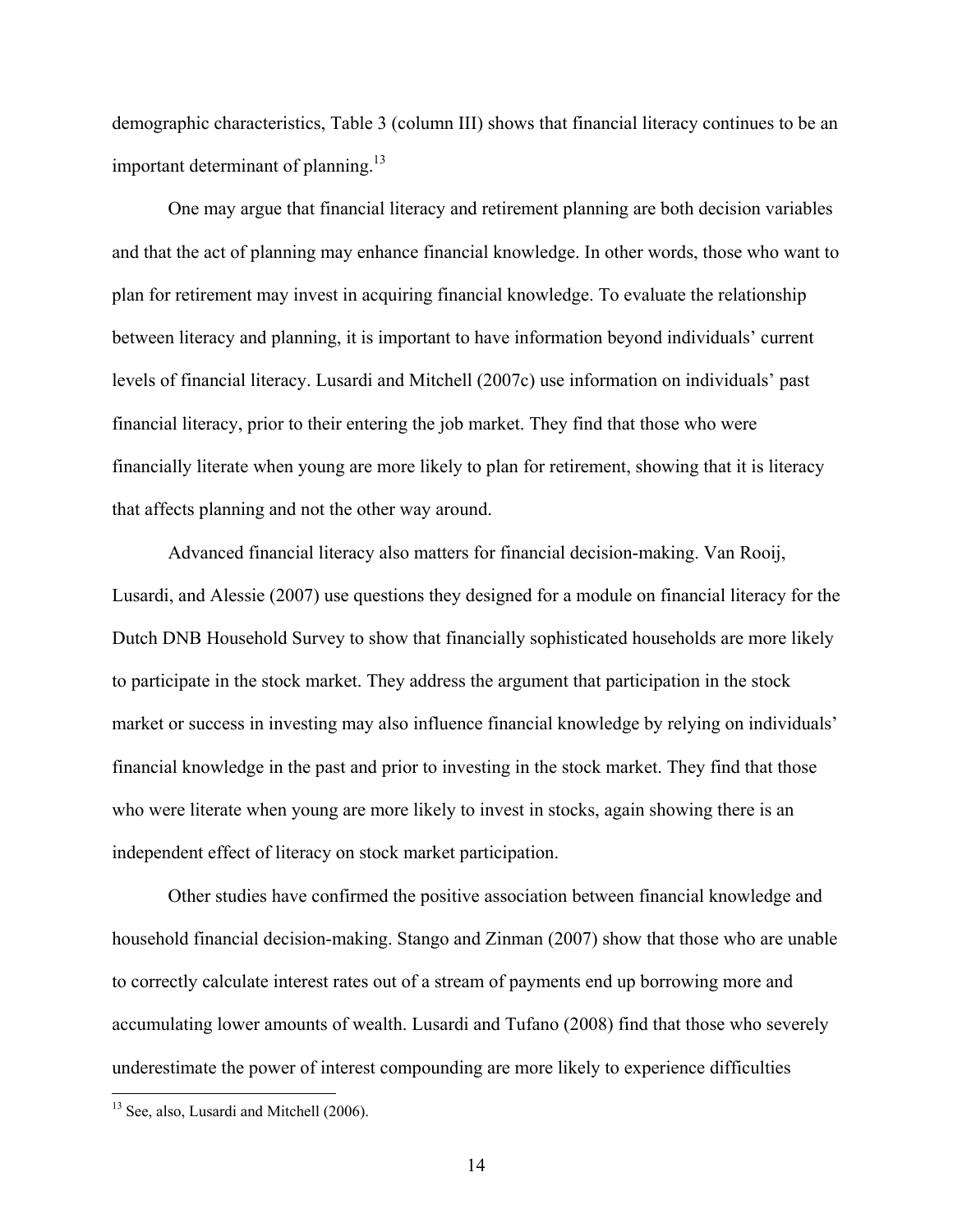demographic characteristics, Table 3 (column III) shows that financial literacy continues to be an important determinant of planning.<sup>13</sup>

One may argue that financial literacy and retirement planning are both decision variables and that the act of planning may enhance financial knowledge. In other words, those who want to plan for retirement may invest in acquiring financial knowledge. To evaluate the relationship between literacy and planning, it is important to have information beyond individuals' current levels of financial literacy. Lusardi and Mitchell (2007c) use information on individuals' past financial literacy, prior to their entering the job market. They find that those who were financially literate when young are more likely to plan for retirement, showing that it is literacy that affects planning and not the other way around.

Advanced financial literacy also matters for financial decision-making. Van Rooij, Lusardi, and Alessie (2007) use questions they designed for a module on financial literacy for the Dutch DNB Household Survey to show that financially sophisticated households are more likely to participate in the stock market. They address the argument that participation in the stock market or success in investing may also influence financial knowledge by relying on individuals' financial knowledge in the past and prior to investing in the stock market. They find that those who were literate when young are more likely to invest in stocks, again showing there is an independent effect of literacy on stock market participation.

Other studies have confirmed the positive association between financial knowledge and household financial decision-making. Stango and Zinman (2007) show that those who are unable to correctly calculate interest rates out of a stream of payments end up borrowing more and accumulating lower amounts of wealth. Lusardi and Tufano (2008) find that those who severely underestimate the power of interest compounding are more likely to experience difficulties

 $\overline{a}$ 

<sup>&</sup>lt;sup>13</sup> See, also, Lusardi and Mitchell (2006).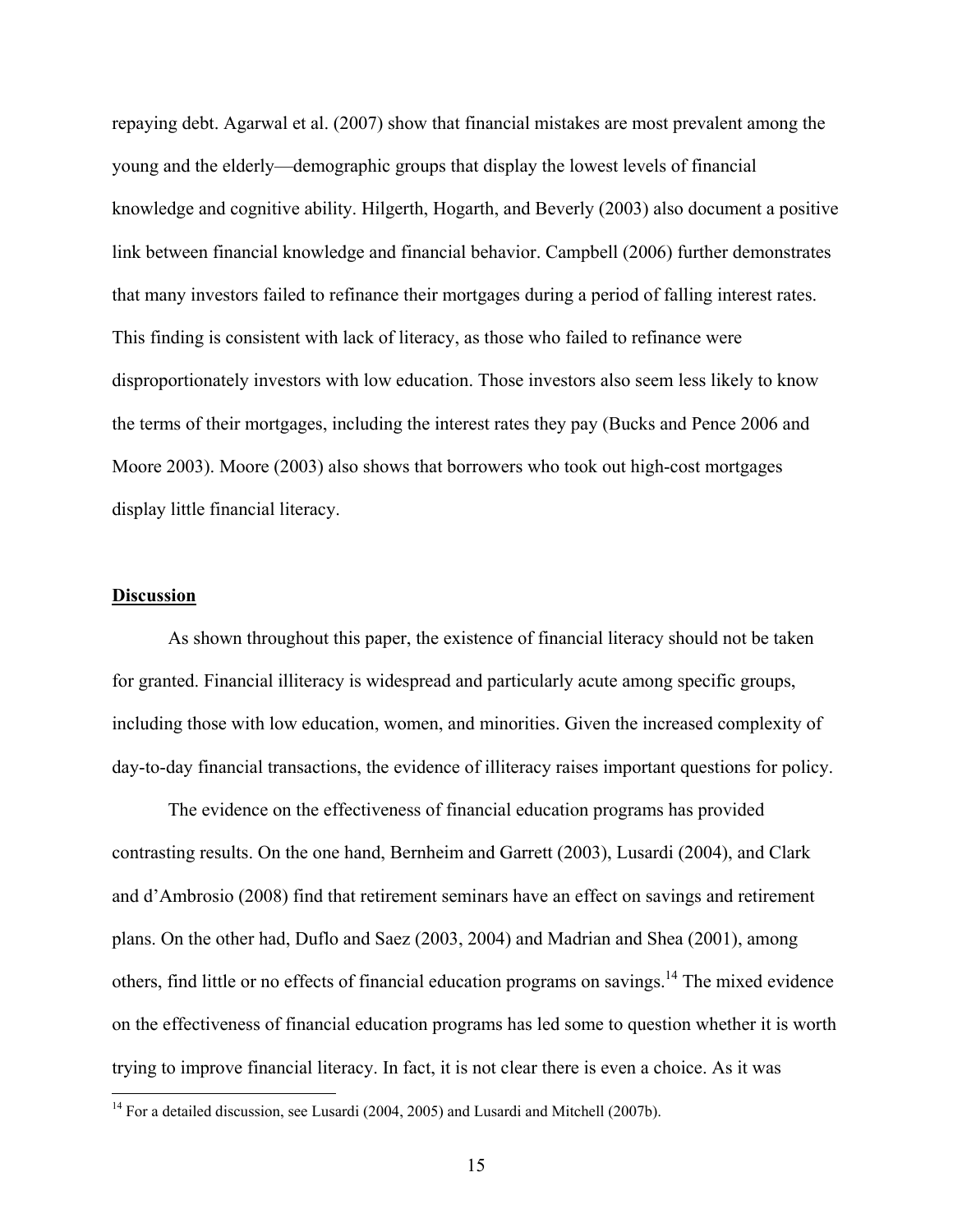repaying debt. Agarwal et al. (2007) show that financial mistakes are most prevalent among the young and the elderly—demographic groups that display the lowest levels of financial knowledge and cognitive ability. Hilgerth, Hogarth, and Beverly (2003) also document a positive link between financial knowledge and financial behavior. Campbell (2006) further demonstrates that many investors failed to refinance their mortgages during a period of falling interest rates. This finding is consistent with lack of literacy, as those who failed to refinance were disproportionately investors with low education. Those investors also seem less likely to know the terms of their mortgages, including the interest rates they pay (Bucks and Pence 2006 and Moore 2003). Moore (2003) also shows that borrowers who took out high-cost mortgages display little financial literacy.

### **Discussion**

 $\overline{a}$ 

As shown throughout this paper, the existence of financial literacy should not be taken for granted. Financial illiteracy is widespread and particularly acute among specific groups, including those with low education, women, and minorities. Given the increased complexity of day-to-day financial transactions, the evidence of illiteracy raises important questions for policy.

The evidence on the effectiveness of financial education programs has provided contrasting results. On the one hand, Bernheim and Garrett (2003), Lusardi (2004), and Clark and d'Ambrosio (2008) find that retirement seminars have an effect on savings and retirement plans. On the other had, Duflo and Saez (2003, 2004) and Madrian and Shea (2001), among others, find little or no effects of financial education programs on savings.<sup>14</sup> The mixed evidence on the effectiveness of financial education programs has led some to question whether it is worth trying to improve financial literacy. In fact, it is not clear there is even a choice. As it was

<sup>&</sup>lt;sup>14</sup> For a detailed discussion, see Lusardi (2004, 2005) and Lusardi and Mitchell (2007b).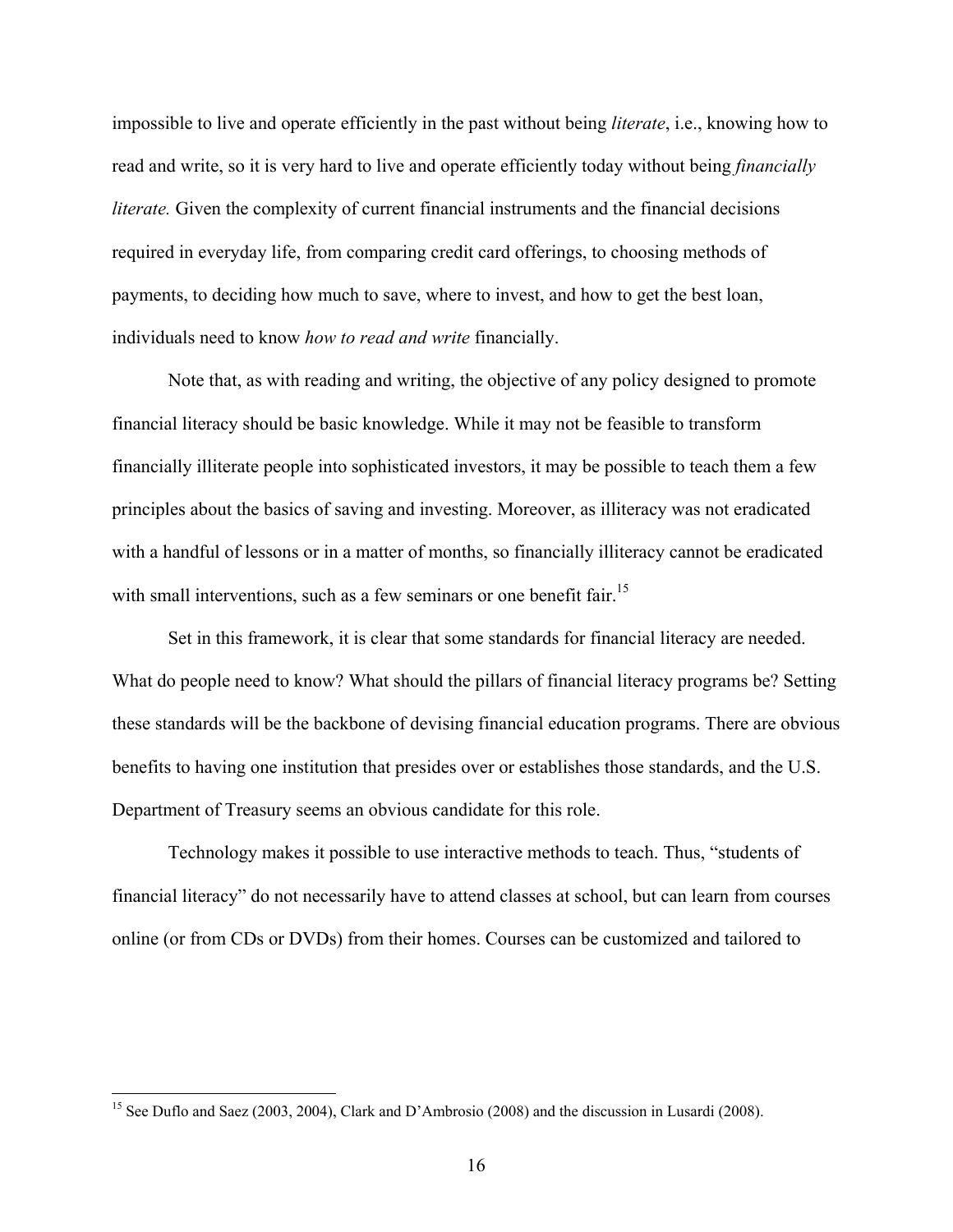impossible to live and operate efficiently in the past without being *literate*, i.e., knowing how to read and write, so it is very hard to live and operate efficiently today without being *financially literate*. Given the complexity of current financial instruments and the financial decisions required in everyday life, from comparing credit card offerings, to choosing methods of payments, to deciding how much to save, where to invest, and how to get the best loan, individuals need to know *how to read and write* financially.

Note that, as with reading and writing, the objective of any policy designed to promote financial literacy should be basic knowledge. While it may not be feasible to transform financially illiterate people into sophisticated investors, it may be possible to teach them a few principles about the basics of saving and investing. Moreover, as illiteracy was not eradicated with a handful of lessons or in a matter of months, so financially illiteracy cannot be eradicated with small interventions, such as a few seminars or one benefit fair.<sup>15</sup>

Set in this framework, it is clear that some standards for financial literacy are needed. What do people need to know? What should the pillars of financial literacy programs be? Setting these standards will be the backbone of devising financial education programs. There are obvious benefits to having one institution that presides over or establishes those standards, and the U.S. Department of Treasury seems an obvious candidate for this role.

Technology makes it possible to use interactive methods to teach. Thus, "students of financial literacy" do not necessarily have to attend classes at school, but can learn from courses online (or from CDs or DVDs) from their homes. Courses can be customized and tailored to

<u>.</u>

<sup>&</sup>lt;sup>15</sup> See Duflo and Saez (2003, 2004), Clark and D'Ambrosio (2008) and the discussion in Lusardi (2008).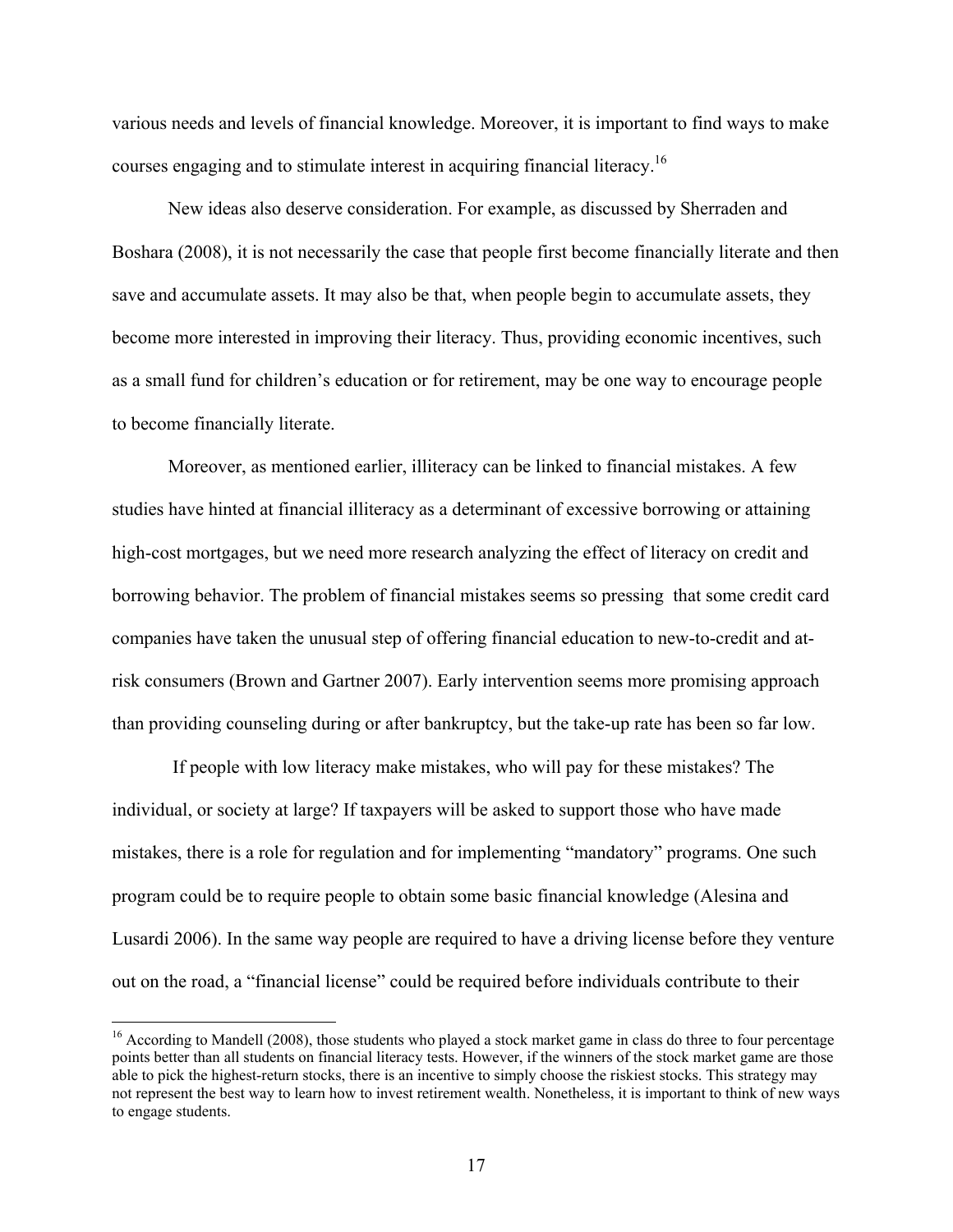various needs and levels of financial knowledge. Moreover, it is important to find ways to make courses engaging and to stimulate interest in acquiring financial literacy.<sup>16</sup>

New ideas also deserve consideration. For example, as discussed by Sherraden and Boshara (2008), it is not necessarily the case that people first become financially literate and then save and accumulate assets. It may also be that, when people begin to accumulate assets, they become more interested in improving their literacy. Thus, providing economic incentives, such as a small fund for children's education or for retirement, may be one way to encourage people to become financially literate.

Moreover, as mentioned earlier, illiteracy can be linked to financial mistakes. A few studies have hinted at financial illiteracy as a determinant of excessive borrowing or attaining high-cost mortgages, but we need more research analyzing the effect of literacy on credit and borrowing behavior. The problem of financial mistakes seems so pressing that some credit card companies have taken the unusual step of offering financial education to new-to-credit and atrisk consumers (Brown and Gartner 2007). Early intervention seems more promising approach than providing counseling during or after bankruptcy, but the take-up rate has been so far low.

 If people with low literacy make mistakes, who will pay for these mistakes? The individual, or society at large? If taxpayers will be asked to support those who have made mistakes, there is a role for regulation and for implementing "mandatory" programs. One such program could be to require people to obtain some basic financial knowledge (Alesina and Lusardi 2006). In the same way people are required to have a driving license before they venture out on the road, a "financial license" could be required before individuals contribute to their

 $\overline{a}$ 

<sup>&</sup>lt;sup>16</sup> According to Mandell (2008), those students who played a stock market game in class do three to four percentage points better than all students on financial literacy tests. However, if the winners of the stock market game are those able to pick the highest-return stocks, there is an incentive to simply choose the riskiest stocks. This strategy may not represent the best way to learn how to invest retirement wealth. Nonetheless, it is important to think of new ways to engage students.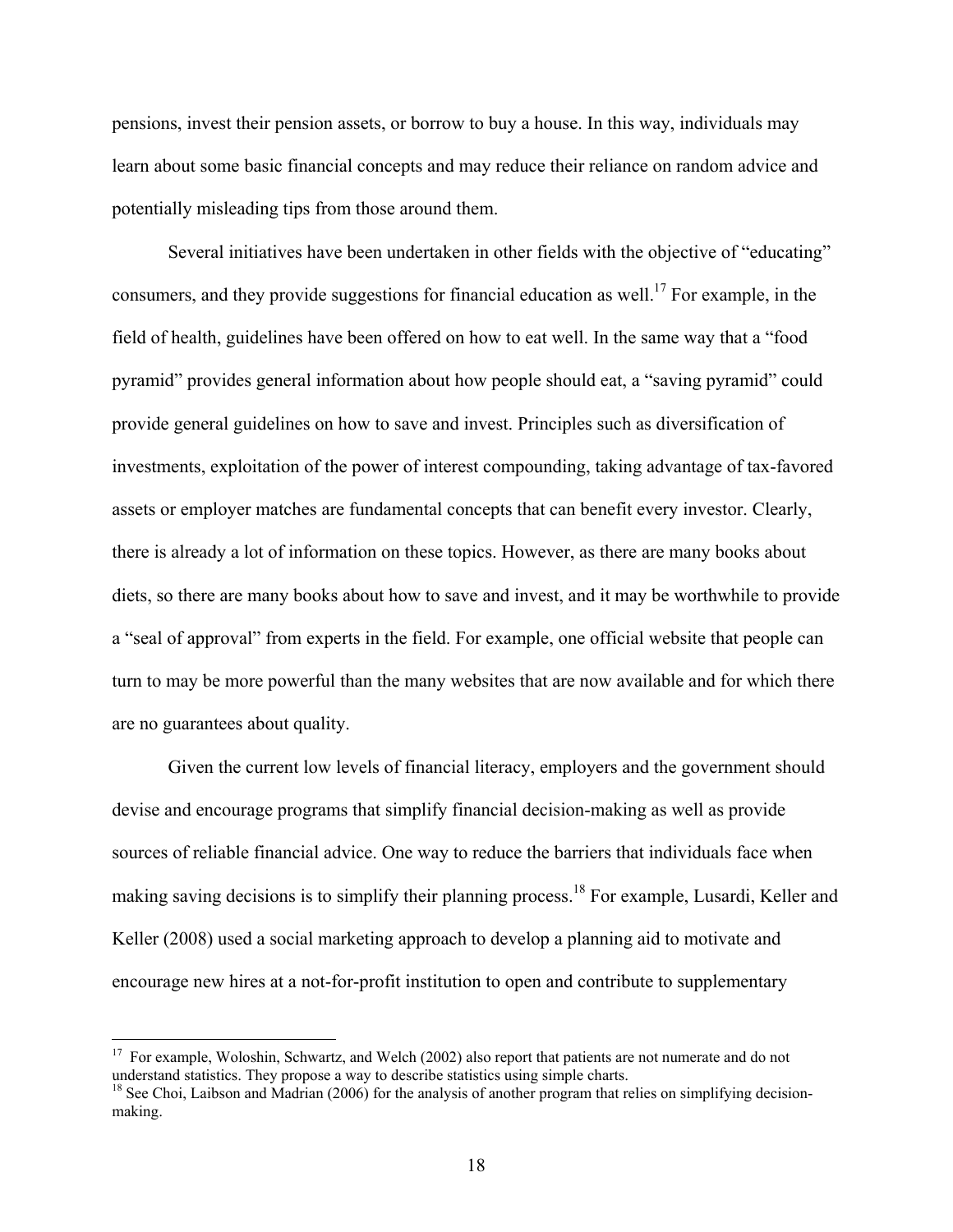pensions, invest their pension assets, or borrow to buy a house. In this way, individuals may learn about some basic financial concepts and may reduce their reliance on random advice and potentially misleading tips from those around them.

Several initiatives have been undertaken in other fields with the objective of "educating" consumers, and they provide suggestions for financial education as well.<sup>17</sup> For example, in the field of health, guidelines have been offered on how to eat well. In the same way that a "food pyramid" provides general information about how people should eat, a "saving pyramid" could provide general guidelines on how to save and invest. Principles such as diversification of investments, exploitation of the power of interest compounding, taking advantage of tax-favored assets or employer matches are fundamental concepts that can benefit every investor. Clearly, there is already a lot of information on these topics. However, as there are many books about diets, so there are many books about how to save and invest, and it may be worthwhile to provide a "seal of approval" from experts in the field. For example, one official website that people can turn to may be more powerful than the many websites that are now available and for which there are no guarantees about quality.

Given the current low levels of financial literacy, employers and the government should devise and encourage programs that simplify financial decision-making as well as provide sources of reliable financial advice. One way to reduce the barriers that individuals face when making saving decisions is to simplify their planning process.<sup>18</sup> For example, Lusardi, Keller and Keller (2008) used a social marketing approach to develop a planning aid to motivate and encourage new hires at a not-for-profit institution to open and contribute to supplementary

 $\overline{a}$ 

<sup>&</sup>lt;sup>17</sup> For example, Woloshin, Schwartz, and Welch (2002) also report that patients are not numerate and do not understand statistics. They propose a way to describe statistics using simple charts.

 $<sup>18</sup>$  See Choi, Laibson and Madrian (2006) for the analysis of another program that relies on simplifying decision-</sup> making.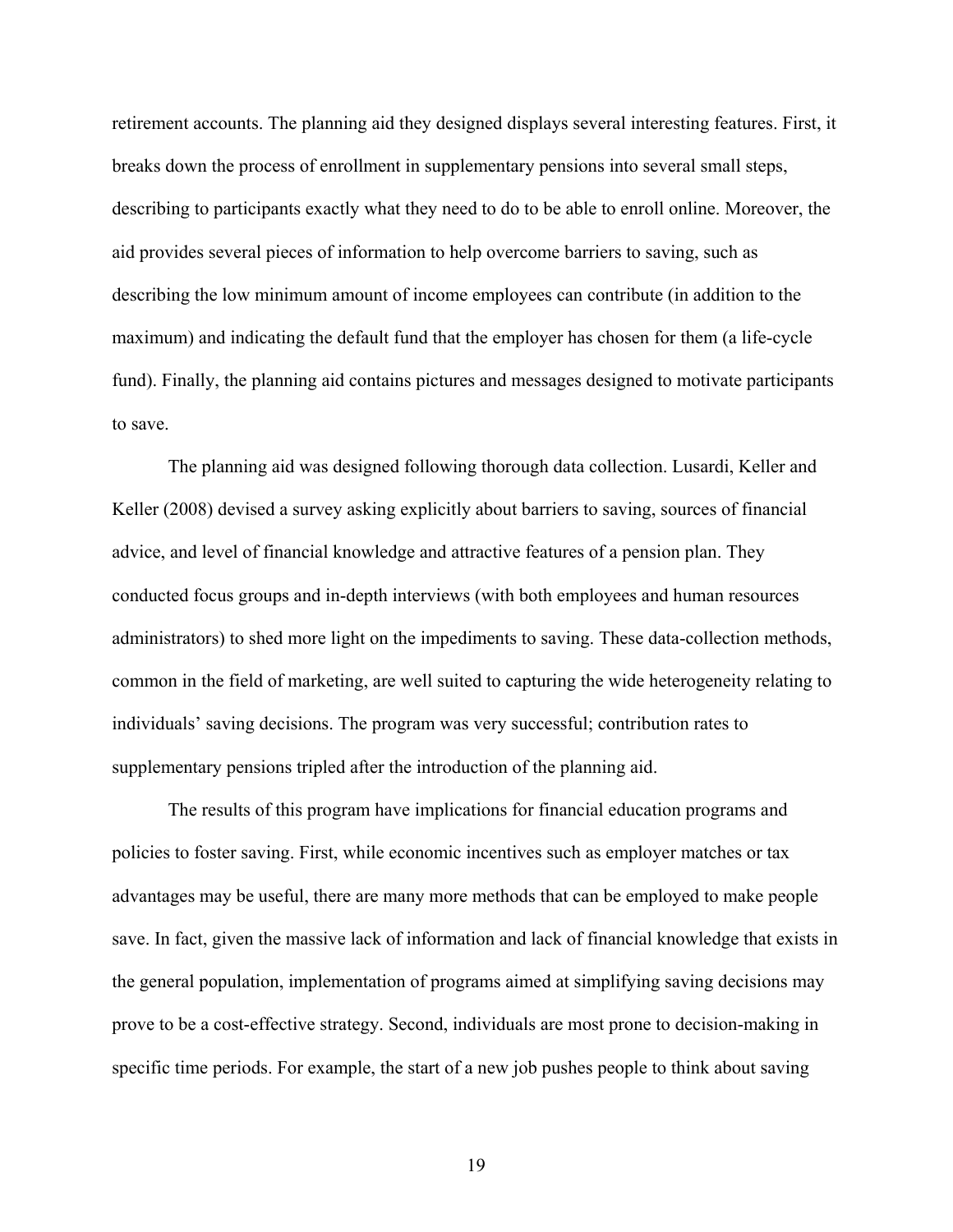retirement accounts. The planning aid they designed displays several interesting features. First, it breaks down the process of enrollment in supplementary pensions into several small steps, describing to participants exactly what they need to do to be able to enroll online. Moreover, the aid provides several pieces of information to help overcome barriers to saving, such as describing the low minimum amount of income employees can contribute (in addition to the maximum) and indicating the default fund that the employer has chosen for them (a life-cycle fund). Finally, the planning aid contains pictures and messages designed to motivate participants to save.

 The planning aid was designed following thorough data collection. Lusardi, Keller and Keller (2008) devised a survey asking explicitly about barriers to saving, sources of financial advice, and level of financial knowledge and attractive features of a pension plan. They conducted focus groups and in-depth interviews (with both employees and human resources administrators) to shed more light on the impediments to saving. These data-collection methods, common in the field of marketing, are well suited to capturing the wide heterogeneity relating to individuals' saving decisions. The program was very successful; contribution rates to supplementary pensions tripled after the introduction of the planning aid.

 The results of this program have implications for financial education programs and policies to foster saving. First, while economic incentives such as employer matches or tax advantages may be useful, there are many more methods that can be employed to make people save. In fact, given the massive lack of information and lack of financial knowledge that exists in the general population, implementation of programs aimed at simplifying saving decisions may prove to be a cost-effective strategy. Second, individuals are most prone to decision-making in specific time periods. For example, the start of a new job pushes people to think about saving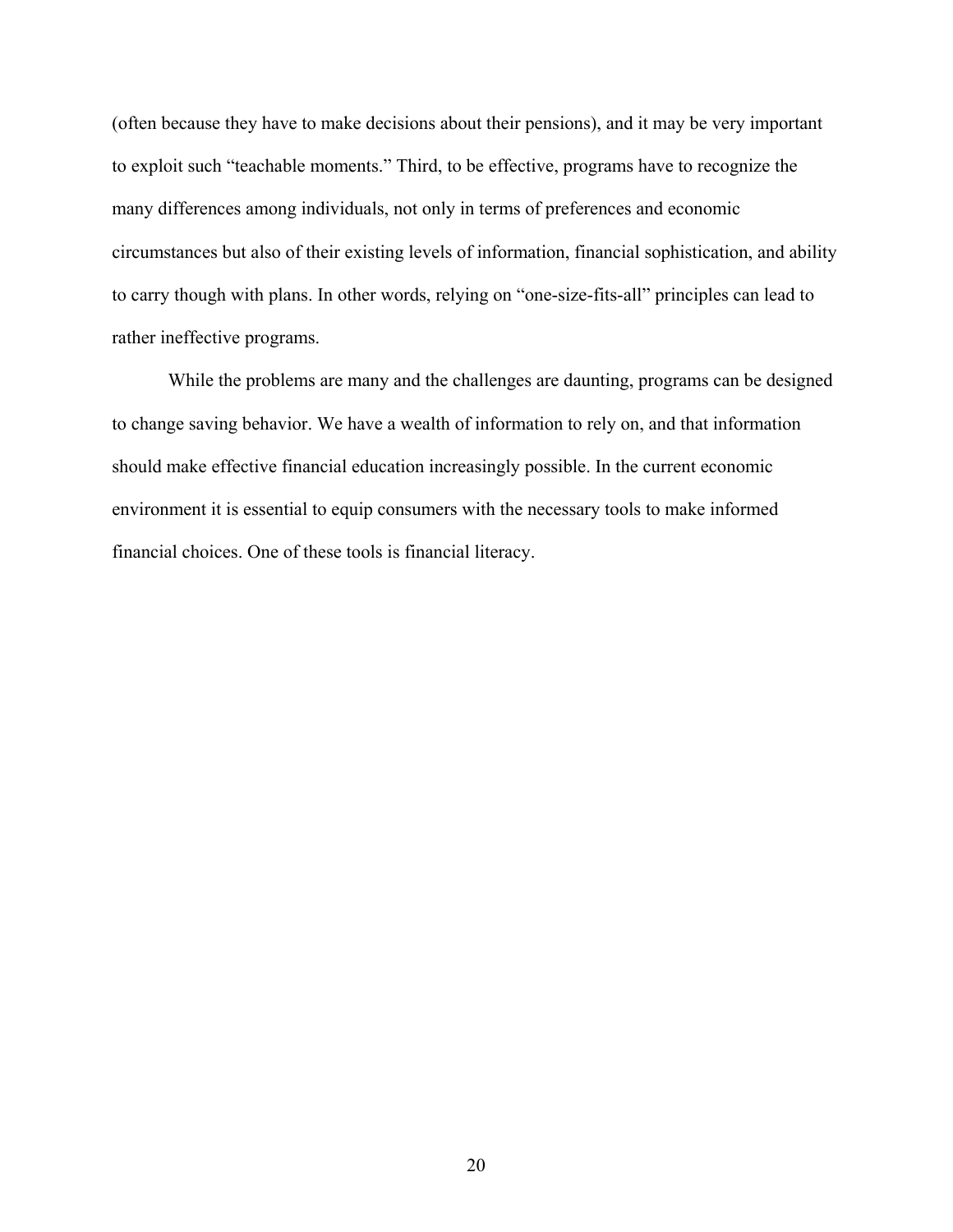(often because they have to make decisions about their pensions), and it may be very important to exploit such "teachable moments." Third, to be effective, programs have to recognize the many differences among individuals, not only in terms of preferences and economic circumstances but also of their existing levels of information, financial sophistication, and ability to carry though with plans. In other words, relying on "one-size-fits-all" principles can lead to rather ineffective programs.

 While the problems are many and the challenges are daunting, programs can be designed to change saving behavior. We have a wealth of information to rely on, and that information should make effective financial education increasingly possible. In the current economic environment it is essential to equip consumers with the necessary tools to make informed financial choices. One of these tools is financial literacy.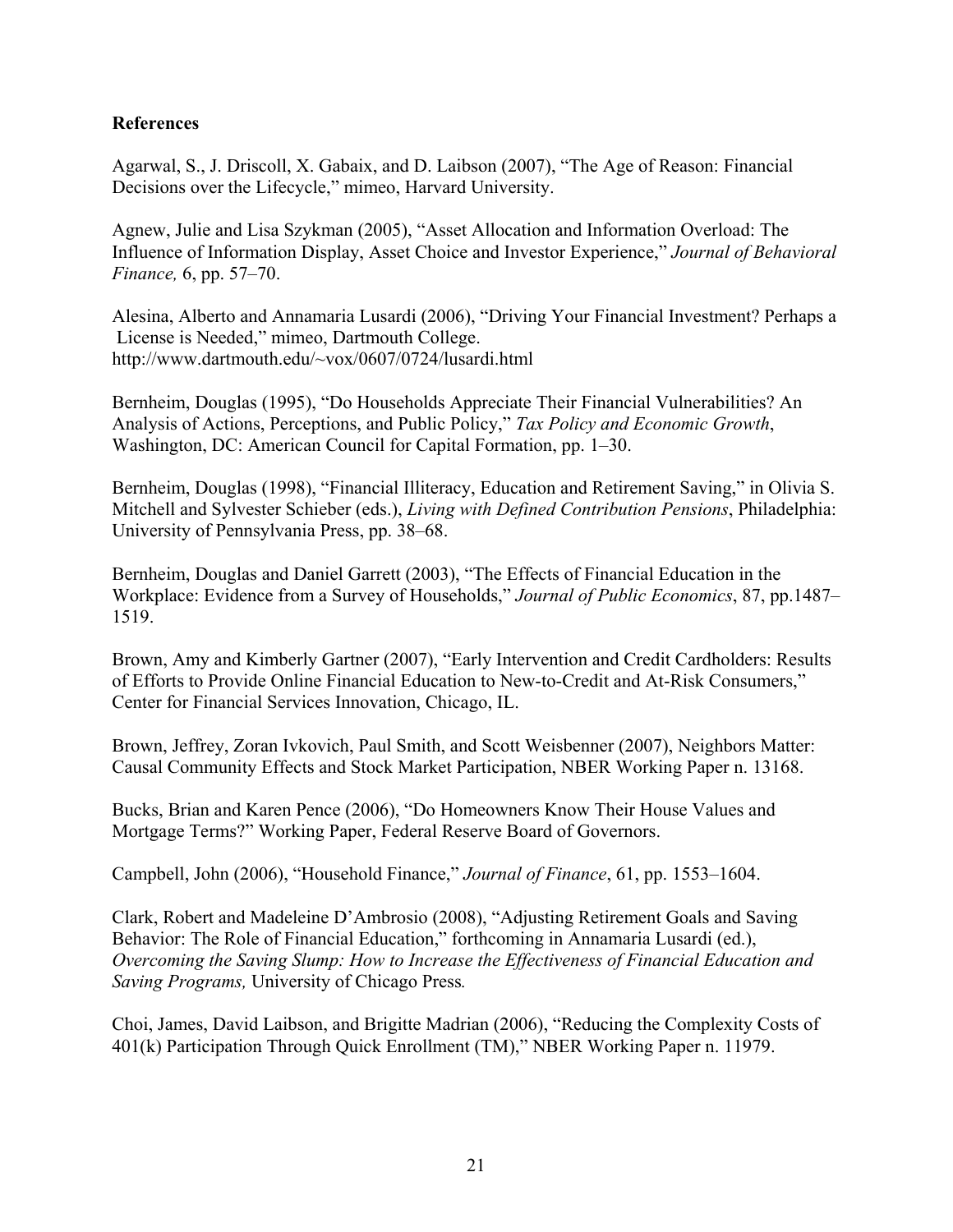# **References**

Agarwal, S., J. Driscoll, X. Gabaix, and D. Laibson (2007), "The Age of Reason: Financial Decisions over the Lifecycle," mimeo, Harvard University.

Agnew, Julie and Lisa Szykman (2005), "Asset Allocation and Information Overload: The Influence of Information Display, Asset Choice and Investor Experience," *Journal of Behavioral Finance,* 6, pp. 57–70.

Alesina, Alberto and Annamaria Lusardi (2006), "Driving Your Financial Investment? Perhaps a License is Needed," mimeo, Dartmouth College. http://www.dartmouth.edu/~vox/0607/0724/lusardi.html

Bernheim, Douglas (1995), "Do Households Appreciate Their Financial Vulnerabilities? An Analysis of Actions, Perceptions, and Public Policy," *Tax Policy and Economic Growth*, Washington, DC: American Council for Capital Formation, pp. 1–30.

Bernheim, Douglas (1998), "Financial Illiteracy, Education and Retirement Saving," in Olivia S. Mitchell and Sylvester Schieber (eds.), *Living with Defined Contribution Pensions*, Philadelphia: University of Pennsylvania Press, pp. 38–68.

Bernheim, Douglas and Daniel Garrett (2003), "The Effects of Financial Education in the Workplace: Evidence from a Survey of Households," *Journal of Public Economics*, 87, pp.1487– 1519.

Brown, Amy and Kimberly Gartner (2007), "Early Intervention and Credit Cardholders: Results of Efforts to Provide Online Financial Education to New-to-Credit and At-Risk Consumers," Center for Financial Services Innovation, Chicago, IL.

Brown, Jeffrey, Zoran Ivkovich, Paul Smith, and Scott Weisbenner (2007), Neighbors Matter: Causal Community Effects and Stock Market Participation, NBER Working Paper n. 13168.

Bucks, Brian and Karen Pence (2006), "Do Homeowners Know Their House Values and Mortgage Terms?" Working Paper, Federal Reserve Board of Governors.

Campbell, John (2006), "Household Finance," *Journal of Finance*, 61, pp. 1553–1604.

Clark, Robert and Madeleine D'Ambrosio (2008), "Adjusting Retirement Goals and Saving Behavior: The Role of Financial Education," forthcoming in Annamaria Lusardi (ed.), *Overcoming the Saving Slump: How to Increase the Effectiveness of Financial Education and Saving Programs,* University of Chicago Press*.*

Choi, James, David Laibson, and Brigitte Madrian (2006), "Reducing the Complexity Costs of 401(k) Participation Through Quick Enrollment (TM)," NBER Working Paper n. 11979.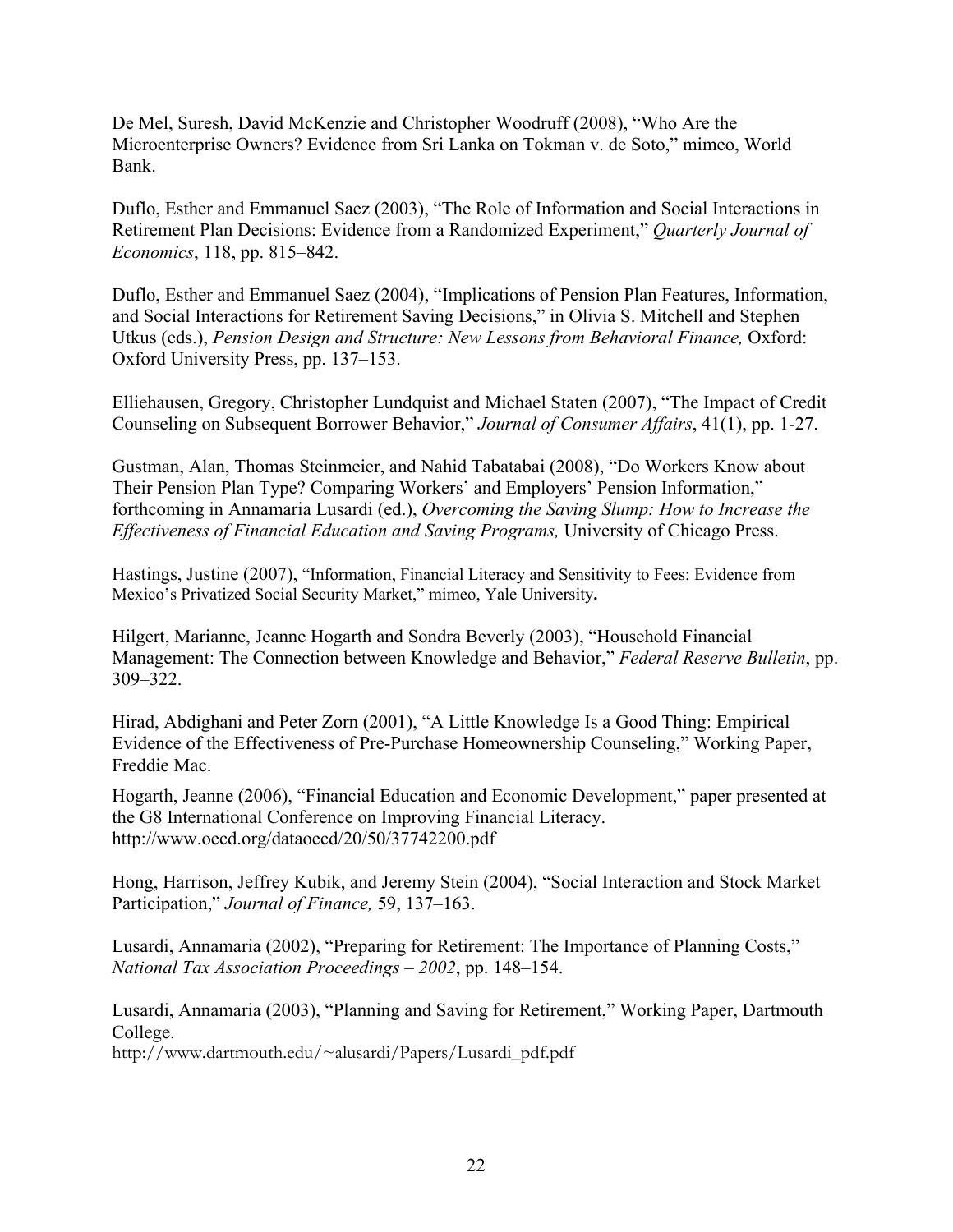De Mel, Suresh, David McKenzie and Christopher Woodruff (2008), "Who Are the Microenterprise Owners? Evidence from Sri Lanka on Tokman v. de Soto," mimeo, World Bank.

Duflo, Esther and Emmanuel Saez (2003), "The Role of Information and Social Interactions in Retirement Plan Decisions: Evidence from a Randomized Experiment," *Quarterly Journal of Economics*, 118, pp. 815–842.

Duflo, Esther and Emmanuel Saez (2004), "Implications of Pension Plan Features, Information, and Social Interactions for Retirement Saving Decisions," in Olivia S. Mitchell and Stephen Utkus (eds.), *Pension Design and Structure: New Lessons from Behavioral Finance,* Oxford: Oxford University Press, pp. 137–153.

Elliehausen, Gregory, Christopher Lundquist and Michael Staten (2007), "The Impact of Credit Counseling on Subsequent Borrower Behavior," *Journal of Consumer Affairs*, 41(1), pp. 1-27.

Gustman, Alan, Thomas Steinmeier, and Nahid Tabatabai (2008), "Do Workers Know about Their Pension Plan Type? Comparing Workers' and Employers' Pension Information," forthcoming in Annamaria Lusardi (ed.), *Overcoming the Saving Slump: How to Increase the Effectiveness of Financial Education and Saving Programs,* University of Chicago Press.

Hastings, Justine (2007), "Information, Financial Literacy and Sensitivity to Fees: Evidence from Mexico's Privatized Social Security Market," mimeo, Yale University**.**

Hilgert, Marianne, Jeanne Hogarth and Sondra Beverly (2003), "Household Financial Management: The Connection between Knowledge and Behavior," *Federal Reserve Bulletin*, pp. 309–322.

Hirad, Abdighani and Peter Zorn (2001), "A Little Knowledge Is a Good Thing: Empirical Evidence of the Effectiveness of Pre-Purchase Homeownership Counseling," Working Paper, Freddie Mac.

Hogarth, Jeanne (2006), "Financial Education and Economic Development," paper presented at the G8 International Conference on Improving Financial Literacy. http://www.oecd.org/dataoecd/20/50/37742200.pdf

Hong, Harrison, Jeffrey Kubik, and Jeremy Stein (2004), "Social Interaction and Stock Market Participation," *Journal of Finance,* 59, 137–163.

Lusardi, Annamaria (2002), "Preparing for Retirement: The Importance of Planning Costs," *National Tax Association Proceedings – 2002*, pp. 148–154.

Lusardi, Annamaria (2003), "Planning and Saving for Retirement," Working Paper, Dartmouth College.

http://www.dartmouth.edu/~alusardi/Papers/Lusardi\_pdf.pdf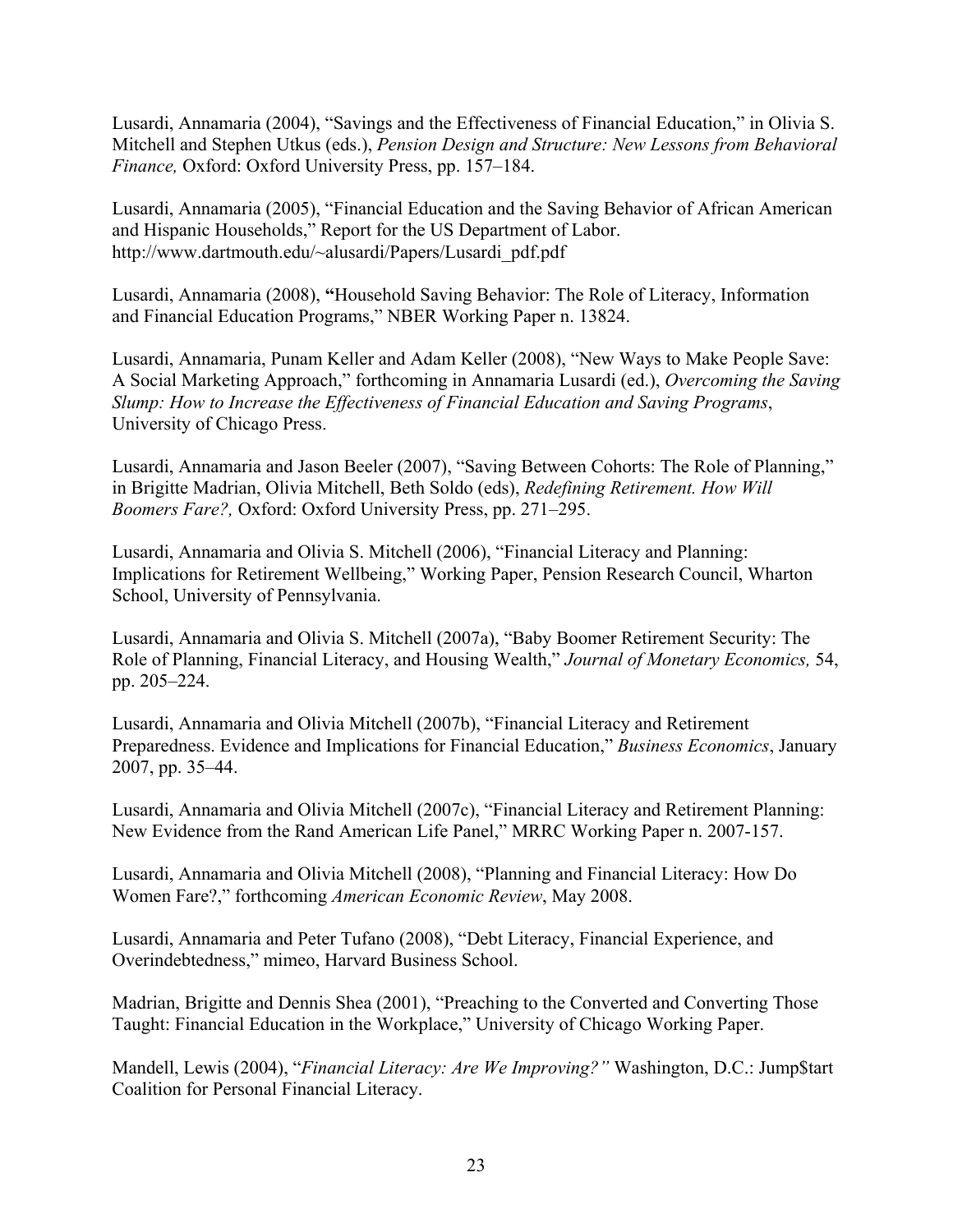Lusardi, Annamaria (2004), "Savings and the Effectiveness of Financial Education," in Olivia S. Mitchell and Stephen Utkus (eds.), *Pension Design and Structure: New Lessons from Behavioral Finance,* Oxford: Oxford University Press, pp. 157–184.

Lusardi, Annamaria (2005), "Financial Education and the Saving Behavior of African American and Hispanic Households," Report for the US Department of Labor. http://www.dartmouth.edu/~alusardi/Papers/Lusardi\_pdf.pdf

Lusardi, Annamaria (2008), **"**Household Saving Behavior: The Role of Literacy, Information and Financial Education Programs," NBER Working Paper n. 13824.

Lusardi, Annamaria, Punam Keller and Adam Keller (2008), "New Ways to Make People Save: A Social Marketing Approach," forthcoming in Annamaria Lusardi (ed.), *Overcoming the Saving Slump: How to Increase the Effectiveness of Financial Education and Saving Programs*, University of Chicago Press.

Lusardi, Annamaria and Jason Beeler (2007), "Saving Between Cohorts: The Role of Planning," in Brigitte Madrian, Olivia Mitchell, Beth Soldo (eds), *Redefining Retirement. How Will Boomers Fare?,* Oxford: Oxford University Press, pp. 271–295.

Lusardi, Annamaria and Olivia S. Mitchell (2006), "Financial Literacy and Planning: Implications for Retirement Wellbeing," Working Paper, Pension Research Council, Wharton School, University of Pennsylvania.

Lusardi, Annamaria and Olivia S. Mitchell (2007a), "Baby Boomer Retirement Security: The Role of Planning, Financial Literacy, and Housing Wealth," *Journal of Monetary Economics,* 54, pp. 205–224.

Lusardi, Annamaria and Olivia Mitchell (2007b), "Financial Literacy and Retirement Preparedness. Evidence and Implications for Financial Education," *Business Economics*, January 2007, pp. 35–44.

Lusardi, Annamaria and Olivia Mitchell (2007c), "Financial Literacy and Retirement Planning: New Evidence from the Rand American Life Panel," MRRC Working Paper n. 2007-157.

Lusardi, Annamaria and Olivia Mitchell (2008), "Planning and Financial Literacy: How Do Women Fare?," forthcoming *American Economic Review*, May 2008.

Lusardi, Annamaria and Peter Tufano (2008), "Debt Literacy, Financial Experience, and Overindebtedness," mimeo, Harvard Business School.

Madrian, Brigitte and Dennis Shea (2001), "Preaching to the Converted and Converting Those Taught: Financial Education in the Workplace," University of Chicago Working Paper.

Mandell, Lewis (2004), "*Financial Literacy: Are We Improving?"* Washington, D.C.: Jump\$tart Coalition for Personal Financial Literacy.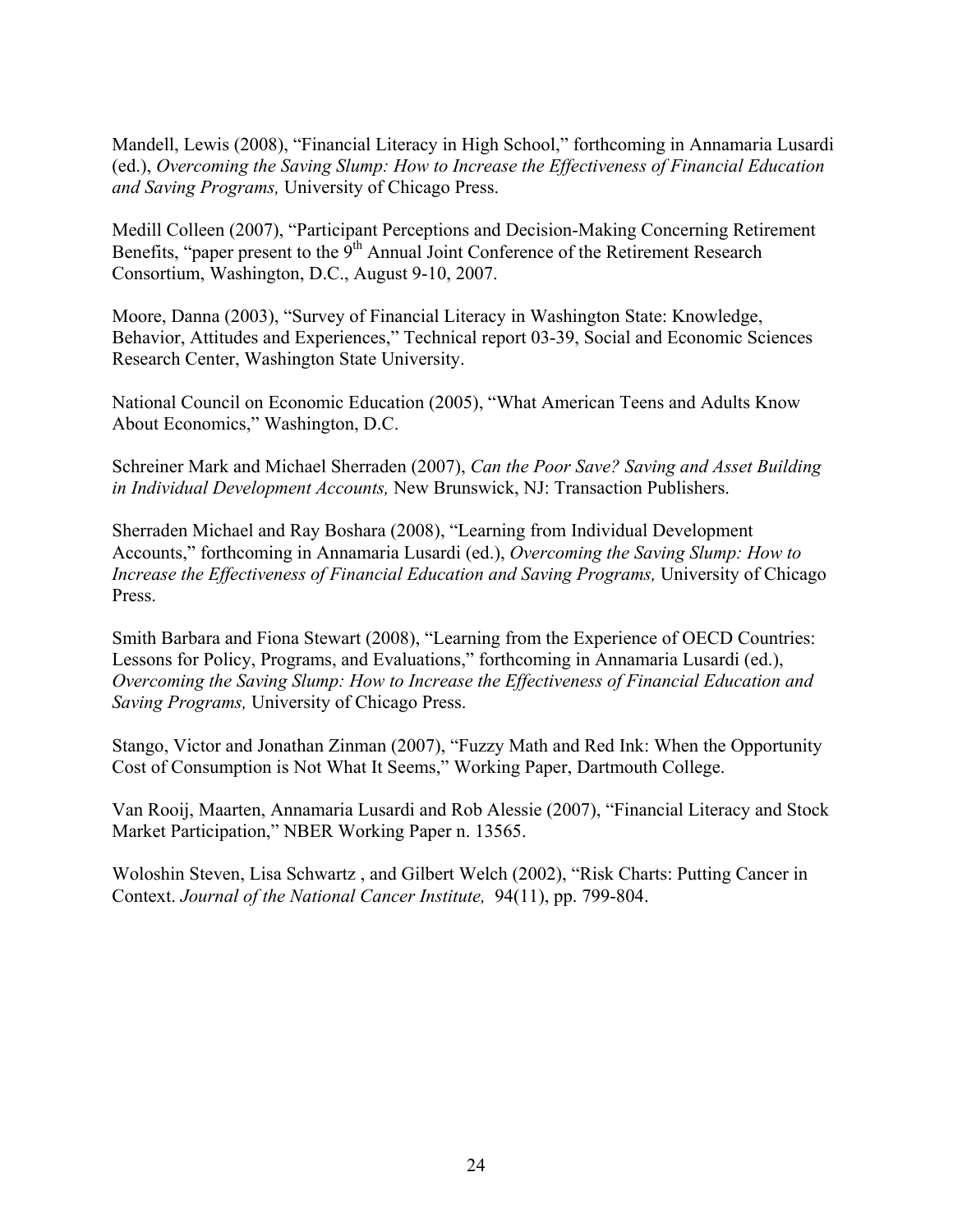Mandell, Lewis (2008), "Financial Literacy in High School," forthcoming in Annamaria Lusardi (ed.), *Overcoming the Saving Slump: How to Increase the Effectiveness of Financial Education and Saving Programs,* University of Chicago Press.

Medill Colleen (2007), "Participant Perceptions and Decision-Making Concerning Retirement Benefits, "paper present to the 9<sup>th</sup> Annual Joint Conference of the Retirement Research Consortium, Washington, D.C., August 9-10, 2007.

Moore, Danna (2003), "Survey of Financial Literacy in Washington State: Knowledge, Behavior, Attitudes and Experiences," Technical report 03-39, Social and Economic Sciences Research Center, Washington State University.

National Council on Economic Education (2005), "What American Teens and Adults Know About Economics," Washington, D.C.

Schreiner Mark and Michael Sherraden (2007), *Can the Poor Save? Saving and Asset Building in Individual Development Accounts,* New Brunswick, NJ: Transaction Publishers.

Sherraden Michael and Ray Boshara (2008), "Learning from Individual Development Accounts," forthcoming in Annamaria Lusardi (ed.), *Overcoming the Saving Slump: How to Increase the Effectiveness of Financial Education and Saving Programs, University of Chicago* Press.

Smith Barbara and Fiona Stewart (2008), "Learning from the Experience of OECD Countries: Lessons for Policy, Programs, and Evaluations," forthcoming in Annamaria Lusardi (ed.), *Overcoming the Saving Slump: How to Increase the Effectiveness of Financial Education and Saving Programs,* University of Chicago Press.

Stango, Victor and Jonathan Zinman (2007), "Fuzzy Math and Red Ink: When the Opportunity Cost of Consumption is Not What It Seems," Working Paper, Dartmouth College.

Van Rooij, Maarten, Annamaria Lusardi and Rob Alessie (2007), "Financial Literacy and Stock Market Participation," NBER Working Paper n. 13565.

Woloshin Steven, Lisa Schwartz , and Gilbert Welch (2002), "Risk Charts: Putting Cancer in Context. *Journal of the National Cancer Institute,* 94(11), pp. 799-804.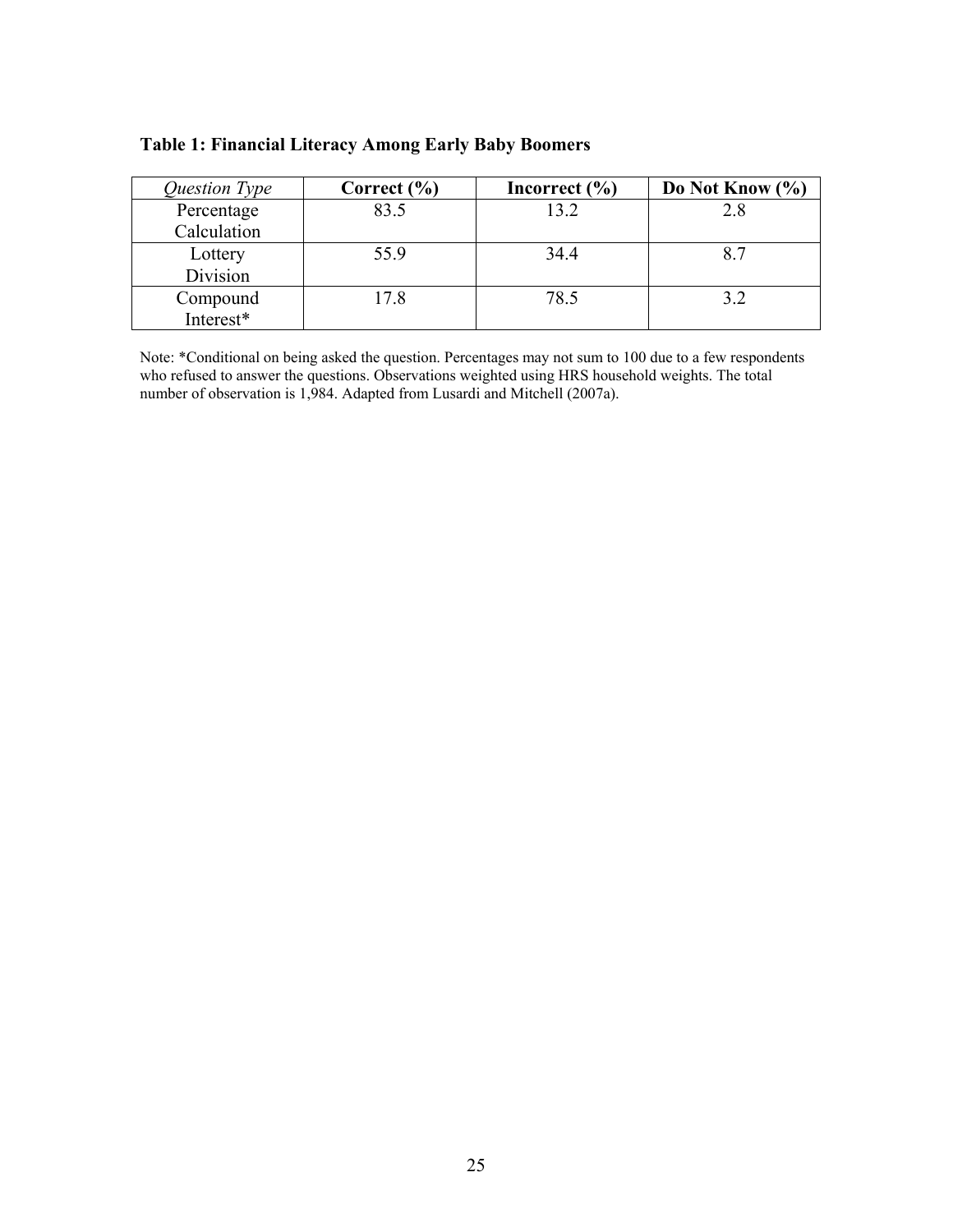# **Table 1: Financial Literacy Among Early Baby Boomers**

| Question Type         | Correct $(\% )$ | Incorrect $(\% )$ | Do Not Know (%) |
|-----------------------|-----------------|-------------------|-----------------|
| Percentage            | 83.5            | 13.2              |                 |
| Calculation           |                 |                   |                 |
| Lottery               | 55.9            | 34.4              |                 |
| Division              |                 |                   |                 |
|                       | 17.8            | 78.5              |                 |
| Compound<br>Interest* |                 |                   |                 |

Note: \*Conditional on being asked the question. Percentages may not sum to 100 due to a few respondents who refused to answer the questions. Observations weighted using HRS household weights. The total number of observation is 1,984. Adapted from Lusardi and Mitchell (2007a).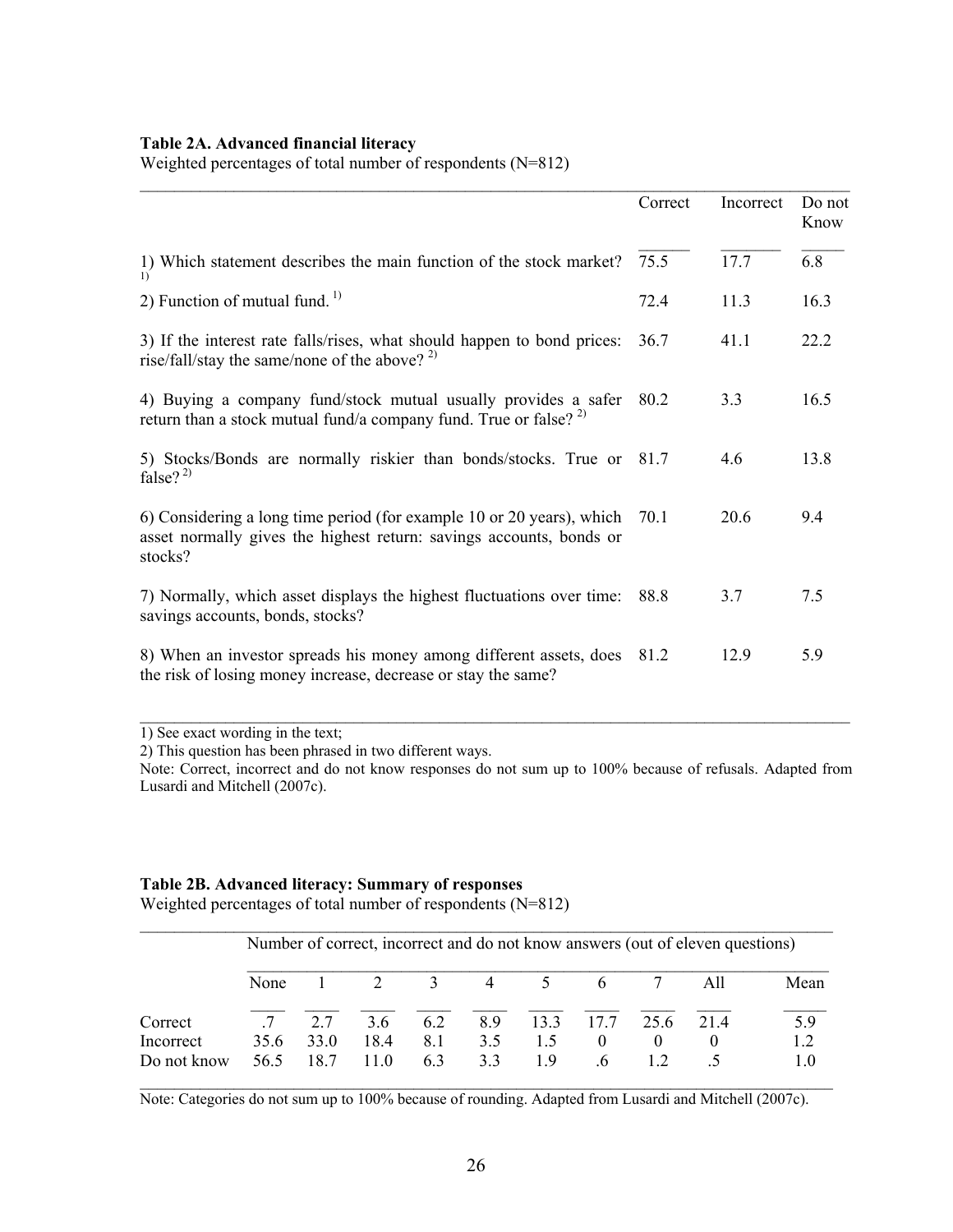#### **Table 2A. Advanced financial literacy**

Weighted percentages of total number of respondents (N=812)

|                                                                                                                                                         | Correct | Incorrect | Do not<br>Know |
|---------------------------------------------------------------------------------------------------------------------------------------------------------|---------|-----------|----------------|
| 1) Which statement describes the main function of the stock market?<br>1)                                                                               | 75.5    | 17.7      | 6.8            |
| 2) Function of mutual fund. $\frac{1}{2}$                                                                                                               | 72.4    | 11.3      | 16.3           |
| 3) If the interest rate falls/rises, what should happen to bond prices:<br>rise/fall/stay the same/none of the above? $2^{2}$                           | 36.7    | 41.1      | 22.2           |
| 4) Buying a company fund/stock mutual usually provides a safer<br>return than a stock mutual fund/a company fund. True or false? <sup>2)</sup>          | 80.2    | 3.3       | 16.5           |
| 5) Stocks/Bonds are normally riskier than bonds/stocks. True or<br>false? $^{2)}$                                                                       | 81.7    | 4.6       | 13.8           |
| 6) Considering a long time period (for example 10 or 20 years), which<br>asset normally gives the highest return: savings accounts, bonds or<br>stocks? | 70.1    | 20.6      | 9.4            |
| 7) Normally, which asset displays the highest fluctuations over time:<br>savings accounts, bonds, stocks?                                               | 88.8    | 3.7       | 7.5            |
| 8) When an investor spreads his money among different assets, does 81.2<br>the risk of losing money increase, decrease or stay the same?                |         | 12.9      | 5.9            |

1) See exact wording in the text;

2) This question has been phrased in two different ways.

Note: Correct, incorrect and do not know responses do not sum up to 100% because of refusals. Adapted from Lusardi and Mitchell (2007c).

#### **Table 2B. Advanced literacy: Summary of responses**

Weighted percentages of total number of respondents (N=812)

|             | Number of correct, incorrect and do not know answers (out of eleven questions) |      |               |     |     |      |            |          |     |      |
|-------------|--------------------------------------------------------------------------------|------|---------------|-----|-----|------|------------|----------|-----|------|
|             | None                                                                           |      | $\mathcal{D}$ | 3   | 4   | 5    | 6          |          | All | Mean |
| Correct     |                                                                                | 27   | 3.6           | 62  | 8.9 | 13.3 | 17.7       | 25.6     | 214 | 5.9  |
| Incorrect   | 35.6                                                                           | 33.0 | 18.4          | 8.1 | 3.5 | 1.5  | $\theta$   | $\theta$ |     | 1.2  |
| Do not know | 56.5                                                                           | 18.7 | 11.0          | 6.3 | 3.3 | 19   | $\epsilon$ | 12       |     | 1.0  |

Note: Categories do not sum up to 100% because of rounding. Adapted from Lusardi and Mitchell (2007c).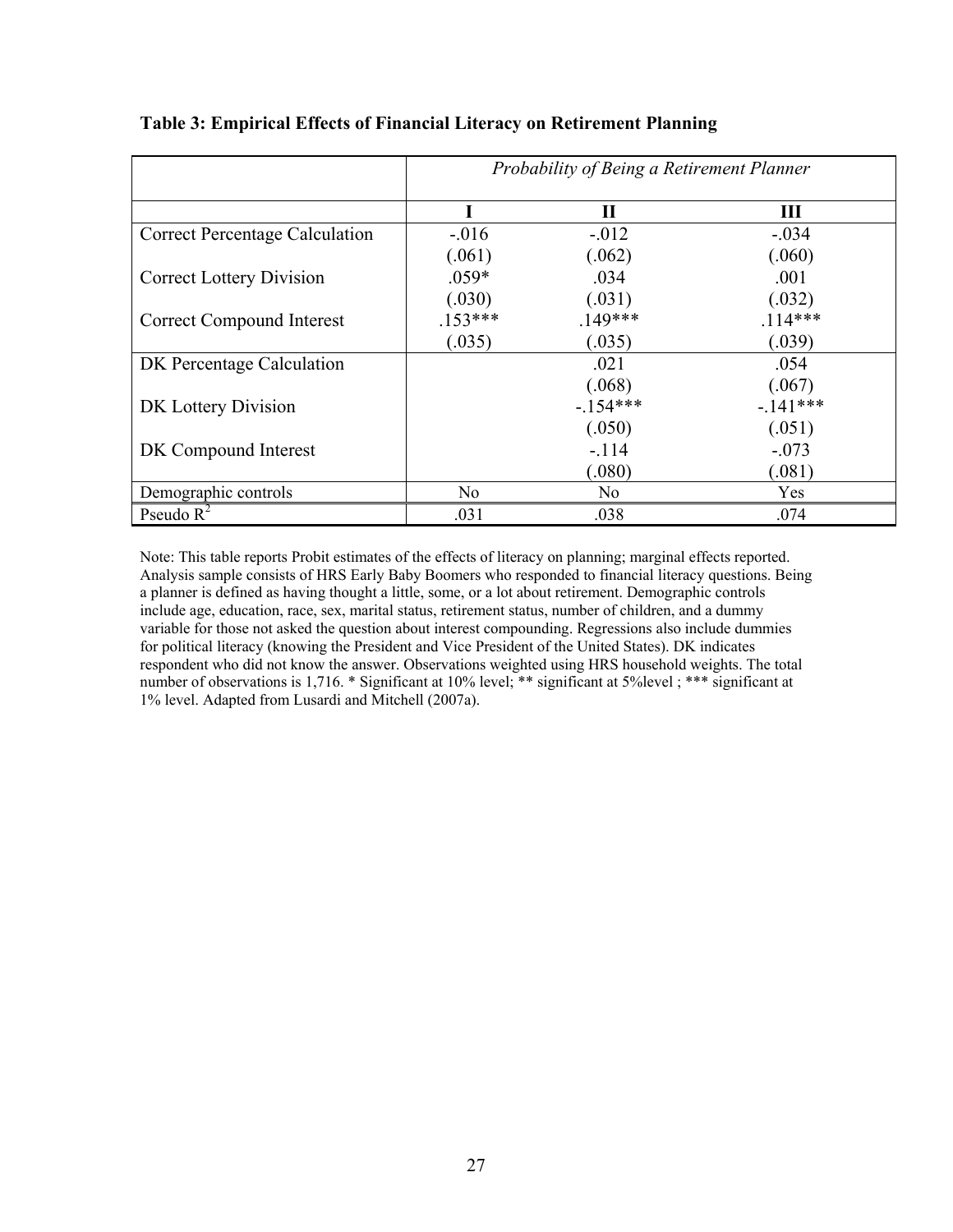|                                       | Probability of Being a Retirement Planner |           |           |  |  |
|---------------------------------------|-------------------------------------------|-----------|-----------|--|--|
|                                       |                                           | П         | III       |  |  |
| <b>Correct Percentage Calculation</b> | $-0.016$                                  | $-0.012$  | $-.034$   |  |  |
|                                       | (.061)                                    | (.062)    | (.060)    |  |  |
| <b>Correct Lottery Division</b>       | $.059*$                                   | .034      | .001      |  |  |
|                                       | (.030)                                    | (.031)    | (.032)    |  |  |
| Correct Compound Interest             | $.153***$                                 | $.149***$ | $.114***$ |  |  |
|                                       | (.035)                                    | (.035)    | (.039)    |  |  |
| DK Percentage Calculation             |                                           | .021      | .054      |  |  |
|                                       |                                           | (.068)    | (.067)    |  |  |
| DK Lottery Division                   |                                           | $-154***$ | $-141***$ |  |  |
|                                       |                                           | (.050)    | (.051)    |  |  |
| DK Compound Interest                  |                                           | $-.114$   | $-.073$   |  |  |
|                                       |                                           | (.080)    | (.081)    |  |  |
| Demographic controls                  | N <sub>0</sub>                            | No.       | Yes       |  |  |
| Pseudo $R^2$                          | .031                                      | .038      | .074      |  |  |

## **Table 3: Empirical Effects of Financial Literacy on Retirement Planning**

Note: This table reports Probit estimates of the effects of literacy on planning; marginal effects reported. Analysis sample consists of HRS Early Baby Boomers who responded to financial literacy questions. Being a planner is defined as having thought a little, some, or a lot about retirement. Demographic controls include age, education, race, sex, marital status, retirement status, number of children, and a dummy variable for those not asked the question about interest compounding. Regressions also include dummies for political literacy (knowing the President and Vice President of the United States). DK indicates respondent who did not know the answer. Observations weighted using HRS household weights. The total number of observations is 1,716. \* Significant at 10% level; \*\* significant at 5%level ; \*\*\* significant at 1% level. Adapted from Lusardi and Mitchell (2007a).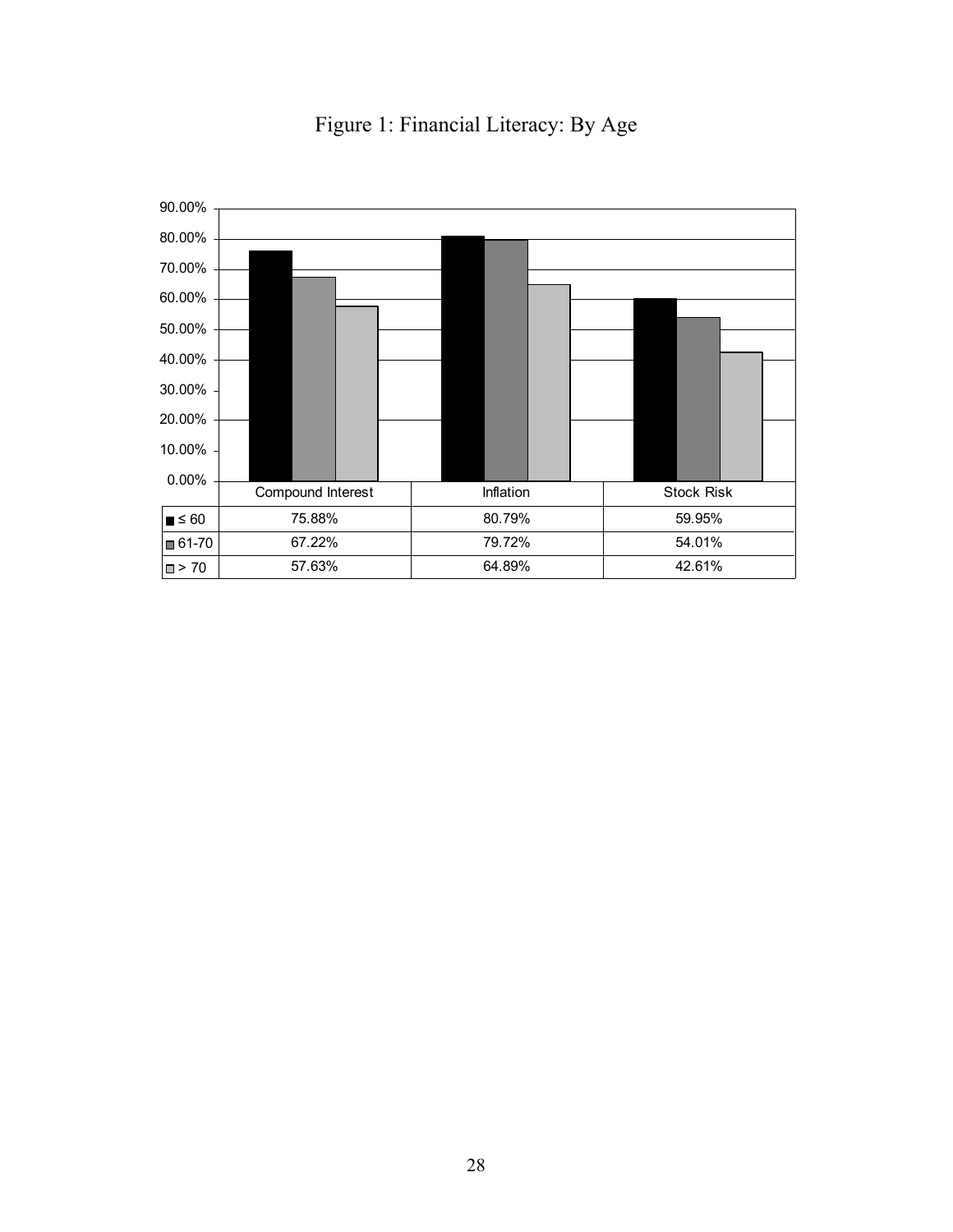

Figure 1: Financial Literacy: By Age